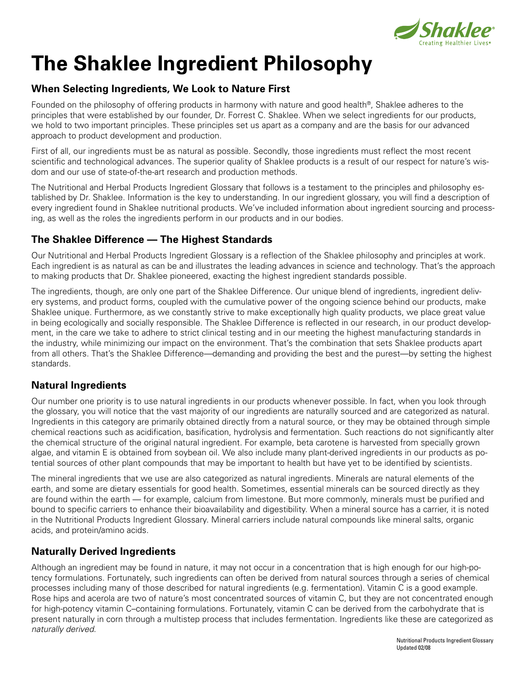

# **The Shaklee Ingredient Philosophy**

# **When Selecting Ingredients, We Look to Nature First**

Founded on the philosophy of offering products in harmony with nature and good health®, Shaklee adheres to the principles that were established by our founder, Dr. Forrest C. Shaklee. When we select ingredients for our products, we hold to two important principles. These principles set us apart as a company and are the basis for our advanced approach to product development and production.

First of all, our ingredients must be as natural as possible. Secondly, those ingredients must reflect the most recent scientific and technological advances. The superior quality of Shaklee products is a result of our respect for nature's wisdom and our use of state-of-the-art research and production methods.

The Nutritional and Herbal Products Ingredient Glossary that follows is a testament to the principles and philosophy established by Dr. Shaklee. Information is the key to understanding. In our ingredient glossary, you will find a description of every ingredient found in Shaklee nutritional products. We've included information about ingredient sourcing and processing, as well as the roles the ingredients perform in our products and in our bodies.

# **The Shaklee Difference — The Highest Standards**

Our Nutritional and Herbal Products Ingredient Glossary is a reflection of the Shaklee philosophy and principles at work. Each ingredient is as natural as can be and illustrates the leading advances in science and technology. That's the approach to making products that Dr. Shaklee pioneered, exacting the highest ingredient standards possible.

The ingredients, though, are only one part of the Shaklee Difference. Our unique blend of ingredients, ingredient delivery systems, and product forms, coupled with the cumulative power of the ongoing science behind our products, make Shaklee unique. Furthermore, as we constantly strive to make exceptionally high quality products, we place great value in being ecologically and socially responsible. The Shaklee Difference is reflected in our research, in our product development, in the care we take to adhere to strict clinical testing and in our meeting the highest manufacturing standards in the industry, while minimizing our impact on the environment. That's the combination that sets Shaklee products apart from all others. That's the Shaklee Difference—demanding and providing the best and the purest—by setting the highest standards.

# **Natural Ingredients**

Our number one priority is to use natural ingredients in our products whenever possible. In fact, when you look through the glossary, you will notice that the vast majority of our ingredients are naturally sourced and are categorized as natural. Ingredients in this category are primarily obtained directly from a natural source, or they may be obtained through simple chemical reactions such as acidification, basification, hydrolysis and fermentation. Such reactions do not significantly alter the chemical structure of the original natural ingredient. For example, beta carotene is harvested from specially grown algae, and vitamin E is obtained from soybean oil. We also include many plant-derived ingredients in our products as potential sources of other plant compounds that may be important to health but have yet to be identified by scientists.

The mineral ingredients that we use are also categorized as natural ingredients. Minerals are natural elements of the earth, and some are dietary essentials for good health. Sometimes, essential minerals can be sourced directly as they are found within the earth — for example, calcium from limestone. But more commonly, minerals must be purified and bound to specific carriers to enhance their bioavailability and digestibility. When a mineral source has a carrier, it is noted in the Nutritional Products Ingredient Glossary. Mineral carriers include natural compounds like mineral salts, organic acids, and protein/amino acids.

# **Naturally Derived Ingredients**

Although an ingredient may be found in nature, it may not occur in a concentration that is high enough for our high-potency formulations. Fortunately, such ingredients can often be derived from natural sources through a series of chemical processes including many of those described for natural ingredients (e.g. fermentation). Vitamin C is a good example. Rose hips and acerola are two of nature's most concentrated sources of vitamin C, but they are not concentrated enough for high-potency vitamin C–containing formulations. Fortunately, vitamin C can be derived from the carbohydrate that is present naturally in corn through a multistep process that includes fermentation. Ingredients like these are categorized as *naturally derived*.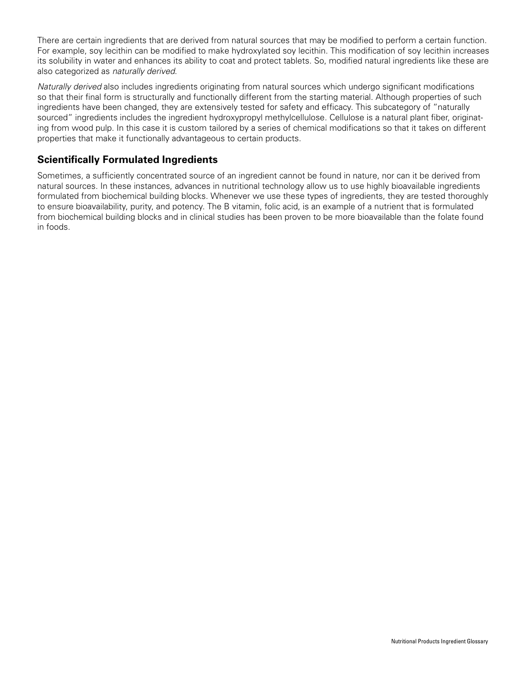There are certain ingredients that are derived from natural sources that may be modified to perform a certain function. For example, soy lecithin can be modified to make hydroxylated soy lecithin. This modification of soy lecithin increases its solubility in water and enhances its ability to coat and protect tablets. So, modified natural ingredients like these are also categorized as *naturally derived*.

*Naturally derived* also includes ingredients originating from natural sources which undergo significant modifications so that their final form is structurally and functionally different from the starting material. Although properties of such ingredients have been changed, they are extensively tested for safety and efficacy. This subcategory of "naturally sourced" ingredients includes the ingredient hydroxypropyl methylcellulose. Cellulose is a natural plant fiber, originating from wood pulp. In this case it is custom tailored by a series of chemical modifications so that it takes on different properties that make it functionally advantageous to certain products.

# **Scientifically Formulated Ingredients**

Sometimes, a sufficiently concentrated source of an ingredient cannot be found in nature, nor can it be derived from natural sources. In these instances, advances in nutritional technology allow us to use highly bioavailable ingredients formulated from biochemical building blocks. Whenever we use these types of ingredients, they are tested thoroughly to ensure bioavailability, purity, and potency. The B vitamin, folic acid, is an example of a nutrient that is formulated from biochemical building blocks and in clinical studies has been proven to be more bioavailable than the folate found in foods.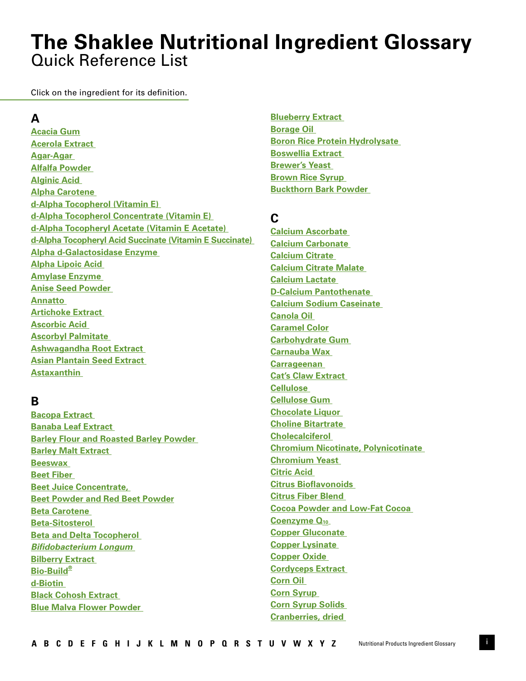# <span id="page-2-0"></span>Quick Reference List **The Shaklee Nutritional Ingredient Glossary**

Click on the ingredient for its definition.

# **A**

**[Acacia Gum](#page-6-0) [Acerola Extract](#page-6-0)  [Agar-Agar](#page-6-0)  [Alfalfa Powder](#page-6-0)  [Alginic Acid](#page-6-0)  [Alpha Carotene](#page-6-0)  [d-Alpha Tocopherol \(Vitamin E\)](#page-6-0)  [d-Alpha Tocopherol Concentrate \(Vitamin E\)](#page-6-0)  [d-Alpha Tocopheryl Acetate \(Vitamin E Acetate\)](#page-6-0)  [d-Alpha Tocopheryl Acid Succinate \(Vitamin E Succinate\)](#page-6-0) [Alpha d-Galactosidase Enzyme](#page-6-0)  [Alpha Lipoic Acid](#page-7-0)  [Amylase Enzyme](#page-7-0)  [Anise Seed Powder](#page-7-0)  [Annatto](#page-7-0)  [Artichoke Extract](#page-7-0)  [Ascorbic Acid](#page-7-0)  [Ascorbyl Palmitate](#page-7-0)  [Ashwagandha Root Extract](#page-7-0)  [Asian Plantain Seed Extract](#page-8-0)  [Astaxanthin](#page-8-0)** 

# **B**

**[Bacopa Extract](#page-8-0)  [Banaba Leaf Extract](#page-8-0)  [Barley Flour and Roasted Barley Powder](#page-8-0)  [Barley Malt Extract](#page-8-0)  [Beeswax](#page-8-0)  [Beet Fiber](#page-8-0)  [Beet Juice Concentrate,](#page-9-0)  [Beet Powder and Red Beet Powder](#page-9-0) [Beta Carotene](#page-9-0)  [Beta-Sitosterol](#page-9-0)  [Beta and Delta Tocopherol](#page-9-0)**  *[Bifidobacterium Longum](#page-9-0)* **[Bilberry Extract](#page-9-0)  [Bio-Build®](#page-9-0) [d-Biotin](#page-9-0)  [Black Cohosh Extract](#page-10-0)  [Blue Malva Flower Powder](#page-10-0)** 

**[Blueberry Extract](#page-10-0)  [Borage Oil](#page-10-0)  [Boron Rice Protein Hydrolysate](#page-10-0)  [Boswellia Extract](#page-10-0)  [Brewer's Yeast](#page-10-0)  [Brown Rice Syrup](#page-10-0)  [Buckthorn Bark Powder](#page-11-0)** 

# **C**

**[Calcium Ascorbate](#page-11-0)  [Calcium Carbonate](#page-11-0)  [Calcium Citrate](#page-11-0)  [Calcium Citrate Malate](#page-11-0)  [Calcium Lactate](#page-11-0)  [D-Calcium Pantothenate](#page-11-0)  [Calcium Sodium Caseinate](#page-11-0)  [Canola Oil](#page-12-0)  [Caramel Color](#page-12-0) [Carbohydrate Gum](#page-12-0)  [Carnauba Wax](#page-12-0)  [Carrageenan](#page-12-0)  [Cat's Claw Extract](#page-12-0)  [Cellulose](#page-12-0)  [Cellulose Gum](#page-12-0)  [Chocolate Liquor](#page-12-0)  [Choline Bitartrate](#page-13-0)  [Cholecalciferol](#page-13-0)  [Chromium Nicotinate, Polynicotinate](#page-13-0)  [Chromium Yeast](#page-13-0)  [Citric Acid](#page-13-0)  [Citrus Bioflavonoids](#page-13-0)  [Citrus Fiber Blend](#page-13-0)  [Cocoa Powder and Low-Fat Cocoa](#page-13-0)**  Coenzyme Q<sub>10</sub> **[Copper Gluconate](#page-14-0)  [Copper Lysinate](#page-14-0)  Copper Oxide [Cordyceps Extract](#page-14-0)  [Corn Oil](#page-14-0)  [Corn Syrup](#page-14-0)  [Corn Syrup Solids](#page-14-0)  [Cranberries, dried](#page-15-0)**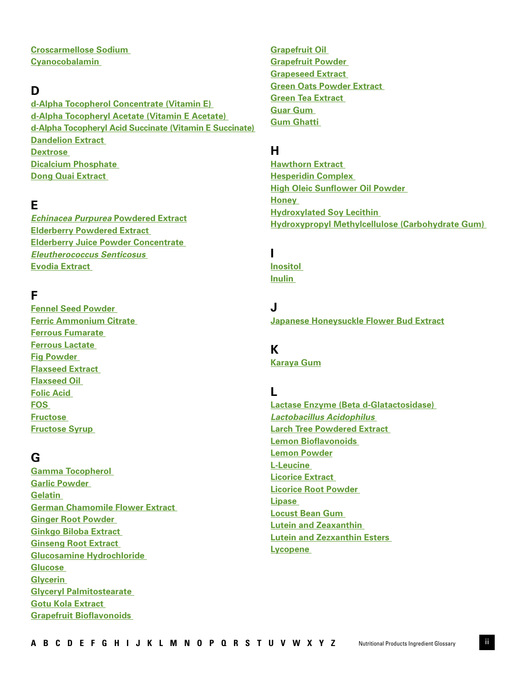<span id="page-3-0"></span>**[Croscarmellose Sodium](#page-15-0)  [Cyanocobalamin](#page-15-0)** 

# **D**

**[d-Alpha Tocopherol Concentrate \(Vitamin E\)](#page-15-0)  [d-Alpha Tocopheryl Acetate \(Vitamin E Acetate\)](#page-15-0)  [d-Alpha Tocopheryl Acid Succinate \(Vitamin E Succinate\)](#page-15-0)  [Dandelion Extract](#page-15-0)  [Dextrose](#page-15-0)  [Dicalcium Phosphate](#page-15-0)  [Dong Quai Extract](#page-15-0)** 

# **E**

*[Echinacea Purpurea](#page-16-0)* **Powdered Extract [Elderberry Powdered Extract](#page-16-0)  [Elderberry Juice Powder Concentrate](#page-16-0)**  *[Eleutherococcus Senticosus](#page-16-0)*  **[Evodia Extract](#page-16-0)** 

# **F**

**[Fennel Seed Powder](#page-16-0)  [Ferric Ammonium Citrate](#page-16-0)  [Ferrous Fumarate](#page-17-0)  [Ferrous Lactate](#page-17-0)  [Fig Powder](#page-17-0)  [Flaxseed Extract](#page-17-0)  [Flaxseed Oil](#page-17-0)  [Folic Acid](#page-17-0)  [FOS](#page-17-0)  [Fructose](#page-17-0)  [Fructose Syrup](#page-18-0)** 

# **G**

**[Gamma Tocopherol](#page-18-0)  [Garlic Powder](#page-18-0)  [Gelatin](#page-18-0)  [German Chamomile Flower Extract](#page-18-0)  [Ginger Root Powder](#page-18-0)  [Ginkgo Biloba Extract](#page-18-0)  [Ginseng Root Extract](#page-18-0)  [Glucosamine Hydrochloride](#page-19-0)  [Glucose](#page-19-0)  [Glycerin](#page-19-0) [Glyceryl Palmitostearate](#page-19-0)  [Gotu Kola Extract](#page-19-0)  [Grapefruit Bioflavonoids](#page-19-0)** 

**[Grapefruit Oil](#page-19-0)  [Grapefruit Powder](#page-19-0)  [Grapeseed Extract](#page-19-0)  [Green Oats Powder Extract](#page-19-0)  [Green Tea Extract](#page-20-0)  [Guar Gum](#page-20-0)  [Gum Ghatti](#page-20-0)** 

# **H**

**[Hawthorn Extract](#page-20-0)  [Hesperidin Complex](#page-20-0)  [High Oleic Sunflower Oil Powder](#page-20-0)  [Honey](#page-20-0)  [Hydroxylated Soy Lecithin](#page-20-0)  [Hydroxypropyl Methylcellulose \(Carbohydrate Gum\)](#page-20-0)** 

# **I**

**[Inositol](#page-21-0)  [Inulin](#page-21-0)** 

# **J**

**[Japanese Honeysuckle Flower Bud Extract](#page-21-0)**

# **K**

**[Karaya Gum](#page-21-0)**

# **L**

**[Lactase Enzyme \(Beta d-Glatactosidase\)](#page-21-0)**  *[Lactobacillus Acidophilus](#page-21-0)*  **[Larch Tree Powdered Extract](#page-21-0)  [Lemon Bioflavonoids](#page-22-0)  [Lemon Powder](#page-22-0) [L-Leucine](#page-22-0)  [Licorice Extract](#page-22-0)  [Licorice Root Powder](#page-22-0)  [Lipase](#page-21-0)  [Locust Bean Gum](#page-22-0)  Lutein and Zeaxanthin [Lutein and Zezxanthin Esters](#page-22-0)  [Lycopene](#page-23-0)**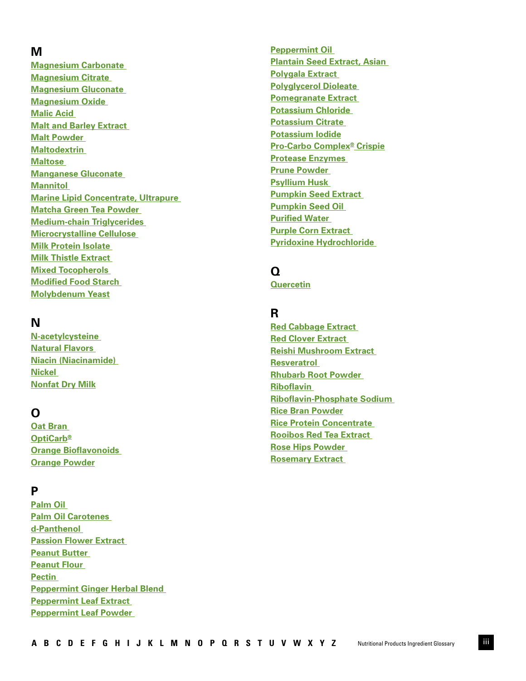# <span id="page-4-0"></span>**M**

**[Magnesium Carbonate](#page-23-0)  [Magnesium Citrate](#page-23-0)  [Magnesium Gluconate](#page-23-0)  [Magnesium Oxide](#page-23-0)  [Malic Acid](#page-23-0)  [Malt and Barley Extract](#page-23-0)  [Malt Powder](#page-23-0)  [Maltodextrin](#page-24-0)  [Maltose](#page-24-0)  [Manganese Gluconate](#page-24-0)  [Mannitol](#page-24-0)  [Marine Lipid Concentrate, Ultrapure](#page-24-0)  [Matcha Green Tea Powder](#page-24-0)  [Medium-chain Triglycerides](#page-24-0)  [Microcrystalline Cellulose](#page-25-0)  [Milk Protein Isolate](#page-25-0)  [Milk Thistle Extract](#page-25-0)  [Mixed Tocopherols](#page-25-0)  [Modified Food Starch](#page-25-0)  [Molybdenum Yeast](#page-25-0)**

# **N**

**[N-acetylcysteine](#page-25-0)  [Natural Flavors](#page-26-0)  [Niacin \(Niacinamide\)](#page-26-0)  [Nickel](#page-26-0)  [Nonfat Dry Milk](#page-26-0)**

# **O**

**[Oat Bran](#page-26-0)  [OptiCarb®](#page-26-0) [Orange Bioflavonoids](#page-26-0)  [Orange Powder](#page-26-0)**

# **P**

**[Palm Oil](#page-26-0)  [Palm Oil Carotenes](#page-26-0)  [d-Panthenol](#page-27-0)  [Passion Flower Extract](#page-27-0)  [Peanut Butter](#page-27-0)  [Peanut Flour](#page-27-0)  [Pectin](#page-27-0)  [Peppermint Ginger Herbal Blend](#page-27-0)  [Peppermint Leaf Extract](#page-27-0)  [Peppermint Leaf Powder](#page-27-0)** 

**[Peppermint Oil](#page-27-0)  [Plantain Seed Extract, Asian](#page-27-0)  [Polygala Extract](#page-28-0)  [Polyglycerol Dioleate](#page-28-0)  [Pomegranate Extract](#page-28-0)  [Potassium Chloride](#page-28-0)  [Potassium Citrate](#page-28-0)  [Potassium Iodide](#page-28-0) [Pro-Carbo Complex® Crispie](#page-28-0) [Protease Enzymes](#page-28-0)  [Prune Powder](#page-28-0)  [Psyllium Husk](#page-29-0)  [Pumpkin Seed Extract](#page-29-0)  [Pumpkin Seed Oil](#page-29-0)  [Purified Water](#page-29-0)  [Purple Corn Extract](#page-29-0)  [Pyridoxine Hydrochloride](#page-29-0)**

# **Q**

**[Quercetin](#page-29-0)**

# **R**

**[Red Cabbage Extract](#page-29-0)  [Red Clover Extract](#page-30-0)  [Reishi Mushroom Extract](#page-30-0)  [Resveratrol](#page-30-0)  [Rhubarb Root Powder](#page-30-0)  [Riboflavin](#page-30-0)  [Riboflavin-Phosphate Sodium](#page-30-0)  [Rice Bran Powder](#page-30-0) [Rice Protein Concentrate](#page-30-0)  [Rooibos Red Tea Extract](#page-30-0)  [Rose Hips Powder](#page-31-0)  [Rosemary Extract](#page-31-0)**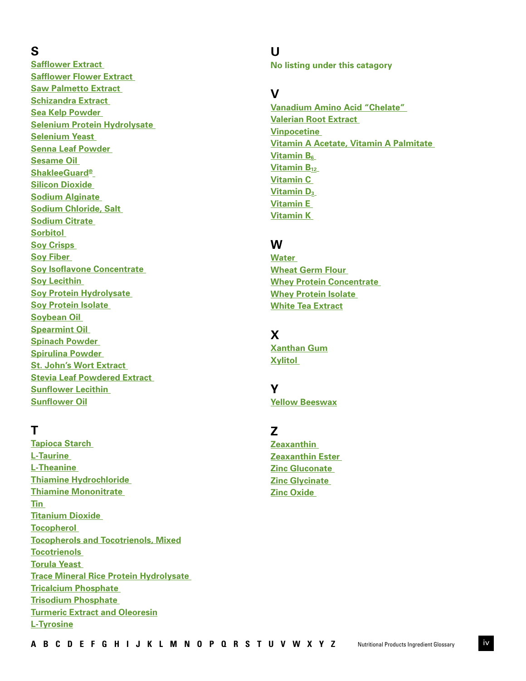# <span id="page-5-0"></span>**S**

**[Safflower Extract](#page-31-0)  [Safflower Flower Extract](#page-31-0)  [Saw Palmetto Extract](#page-31-0)  [Schizandra Extract](#page-31-0)  [Sea Kelp Powder](#page-31-0)  [Selenium Protein Hydrolysate](#page-31-0)  Selenium Yeast [Senna Leaf Powder](#page-32-0)  [Sesame Oil](#page-32-0)  [ShakleeGuard®](#page-32-0) [Silicon Dioxide](#page-32-0)  [Sodium Alginate](#page-32-0)  [Sodium Chloride, Salt](#page-32-0)  [Sodium Citrate](#page-32-0)  [Sorbitol](#page-32-0)  [Soy Crisps](#page-33-0)  [Soy Fiber](#page-33-0)  [Soy Isoflavone Concentrate](#page-33-0)  [Soy Lecithin](#page-33-0)  [Soy Protein Hydrolysate](#page-33-0)  [Soy Protein Isolate](#page-33-0)  [Soybean Oil](#page-33-0)  [Spearmint Oil](#page-33-0)  [Spinach Powder](#page-34-0)  [Spirulina Powder](#page-34-0)  [St. John's Wort Extract](#page-34-0)  [Stevia Leaf Powdered Extract](#page-34-0)  [Sunflower Lecithin](#page-34-0)  [Sunflower Oil](#page-34-0)**

# **T**

**[Tapioca Starch](#page-34-0)  [L-Taurine](#page-34-0)  [L-Theanine](#page-35-0)  [Thiamine Hydrochloride](#page-35-0)  [Thiamine Mononitrate](#page-35-0)  [Tin](#page-35-0)  [Titanium Dioxide](#page-35-0)  [Tocopherol](#page-35-0)  [Tocopherols and Tocotrienols, Mixed](#page-35-0) [Tocotrienols](#page-35-0)  [Torula Yeast](#page-35-0)  [Trace Mineral Rice Protein Hydrolysate](#page-36-0)  [Tricalcium Phosphate](#page-36-0)  [Trisodium Phosphate](#page-36-0)  [Turmeric Extract and Oleoresin](#page-36-0) [L-Tyrosine](#page-36-0)**

**U No listing under this catagory**

# **V**

**[Vanadium Amino Acid "Chelate"](#page-37-0)  [Valerian Root Extract](#page-37-0)  [Vinpocetine](#page-37-0)  [Vitamin A Acetate, Vitamin A Palmitate](#page-37-0)  Vitamin B<sub>6</sub> [Vitamin B12](#page-37-0) [Vitamin C](#page-37-0)  Vitamin D<sub>3</sub> [Vitamin E](#page-37-0)  [Vitamin K](#page-37-0)** 

# **W**

**[Water](#page-38-0)  [Wheat Germ Flour](#page-38-0)  [Whey Protein Concentrate](#page-38-0)  [Whey Protein Isolate](#page-38-0)  [White Tea Extract](#page-38-0)**

# **X**

**[Xanthan Gum](#page-38-0) [Xylitol](#page-38-0)** 

# **Y**

**[Yellow Beeswax](#page-38-0)**

# **Z**

**[Zeaxanthin](#page-39-0)  [Zeaxanthin Ester](#page-39-0)  [Zinc Gluconate](#page-39-0)  [Zinc Glycinate](#page-39-0)  [Zinc Oxide](#page-39-0)**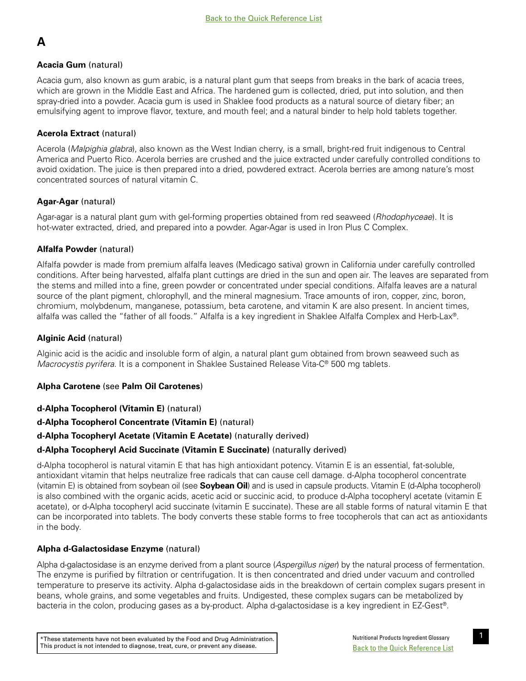# <span id="page-6-0"></span>**A**

# **Acacia Gum** (natural)

Acacia gum, also known as gum arabic, is a natural plant gum that seeps from breaks in the bark of acacia trees, which are grown in the Middle East and Africa. The hardened gum is collected, dried, put into solution, and then spray-dried into a powder. Acacia gum is used in Shaklee food products as a natural source of dietary fiber; an emulsifying agent to improve flavor, texture, and mouth feel; and a natural binder to help hold tablets together.

# **Acerola Extract** (natural)

Acerola (*Malpighia glabra*), also known as the West Indian cherry, is a small, bright-red fruit indigenous to Central America and Puerto Rico. Acerola berries are crushed and the juice extracted under carefully controlled conditions to avoid oxidation. The juice is then prepared into a dried, powdered extract. Acerola berries are among nature's most concentrated sources of natural vitamin C.

# **Agar-Agar** (natural)

Agar-agar is a natural plant gum with gel-forming properties obtained from red seaweed (*Rhodophyceae*). It is hot-water extracted, dried, and prepared into a powder. Agar-Agar is used in Iron Plus C Complex.

# **Alfalfa Powder** (natural)

Alfalfa powder is made from premium alfalfa leaves (Medicago sativa) grown in California under carefully controlled conditions. After being harvested, alfalfa plant cuttings are dried in the sun and open air. The leaves are separated from the stems and milled into a fine, green powder or concentrated under special conditions. Alfalfa leaves are a natural source of the plant pigment, chlorophyll, and the mineral magnesium. Trace amounts of iron, copper, zinc, boron, chromium, molybdenum, manganese, potassium, beta carotene, and vitamin K are also present. In ancient times, alfalfa was called the "father of all foods." Alfalfa is a key ingredient in Shaklee Alfalfa Complex and Herb-Lax®.

# **Alginic Acid** (natural)

Alginic acid is the acidic and insoluble form of algin, a natural plant gum obtained from brown seaweed such as *Macrocystis pyrifera*. It is a component in Shaklee Sustained Release Vita-C® 500 mg tablets.

# **Alpha Carotene** (see **Palm Oil Carotenes**)

# **d-Alpha Tocopherol (Vitamin E)** (natural)

# **d-Alpha Tocopherol Concentrate (Vitamin E)** (natural)

# **d-Alpha Tocopheryl Acetate (Vitamin E Acetate)** (naturally derived)

# **d-Alpha Tocopheryl Acid Succinate (Vitamin E Succinate)** (naturally derived)

d-Alpha tocopherol is natural vitamin E that has high antioxidant potency. Vitamin E is an essential, fat-soluble, antioxidant vitamin that helps neutralize free radicals that can cause cell damage. d-Alpha tocopherol concentrate (vitamin E) is obtained from soybean oil (see **Soybean Oil**) and is used in capsule products. Vitamin E (d-Alpha tocopherol) is also combined with the organic acids, acetic acid or succinic acid, to produce d-Alpha tocopheryl acetate (vitamin E acetate), or d-Alpha tocopheryl acid succinate (vitamin E succinate). These are all stable forms of natural vitamin E that can be incorporated into tablets. The body converts these stable forms to free tocopherols that can act as antioxidants in the body.

# **Alpha d-Galactosidase Enzyme** (natural)

Alpha d-galactosidase is an enzyme derived from a plant source (*Aspergillus niger*) by the natural process of fermentation. The enzyme is purified by filtration or centrifugation. It is then concentrated and dried under vacuum and controlled temperature to preserve its activity. Alpha d-galactosidase aids in the breakdown of certain complex sugars present in beans, whole grains, and some vegetables and fruits. Undigested, these complex sugars can be metabolized by bacteria in the colon, producing gases as a by-product. Alpha d-galactosidase is a key ingredient in EZ-Gest®.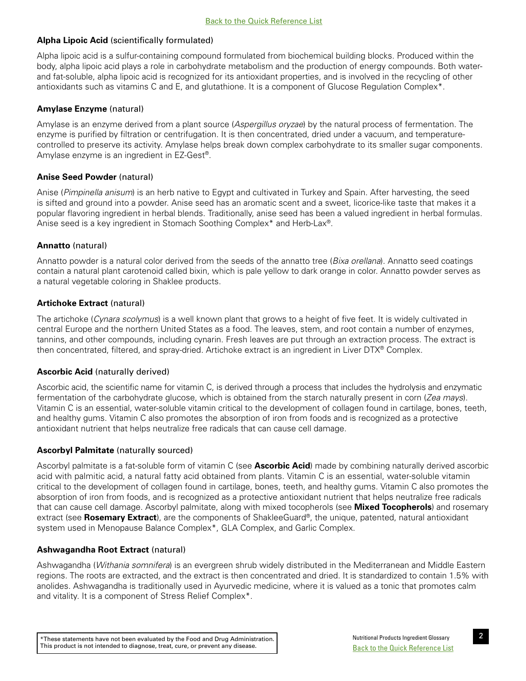# <span id="page-7-0"></span>**Alpha Lipoic Acid** (scientifically formulated)

Alpha lipoic acid is a sulfur-containing compound formulated from biochemical building blocks. Produced within the body, alpha lipoic acid plays a role in carbohydrate metabolism and the production of energy compounds. Both waterand fat-soluble, alpha lipoic acid is recognized for its antioxidant properties, and is involved in the recycling of other antioxidants such as vitamins C and E, and glutathione. It is a component of Glucose Regulation Complex\*.

# **Amylase Enzyme** (natural)

Amylase is an enzyme derived from a plant source (*Aspergillus oryzae*) by the natural process of fermentation. The enzyme is purified by filtration or centrifugation. It is then concentrated, dried under a vacuum, and temperaturecontrolled to preserve its activity. Amylase helps break down complex carbohydrate to its smaller sugar components. Amylase enzyme is an ingredient in EZ-Gest®.

# **Anise Seed Powder** (natural)

Anise (*Pimpinella anisum*) is an herb native to Egypt and cultivated in Turkey and Spain. After harvesting, the seed is sifted and ground into a powder. Anise seed has an aromatic scent and a sweet, licorice-like taste that makes it a popular flavoring ingredient in herbal blends. Traditionally, anise seed has been a valued ingredient in herbal formulas. Anise seed is a key ingredient in Stomach Soothing Complex\* and Herb-Lax®.

# **Annatto** (natural)

Annatto powder is a natural color derived from the seeds of the annatto tree (*Bixa orellana*). Annatto seed coatings contain a natural plant carotenoid called bixin, which is pale yellow to dark orange in color. Annatto powder serves as a natural vegetable coloring in Shaklee products.

# **Artichoke Extract** (natural)

The artichoke (*Cynara scolymus*) is a well known plant that grows to a height of five feet. It is widely cultivated in central Europe and the northern United States as a food. The leaves, stem, and root contain a number of enzymes, tannins, and other compounds, including cynarin. Fresh leaves are put through an extraction process. The extract is then concentrated, filtered, and spray-dried. Artichoke extract is an ingredient in Liver DTX® Complex.

## **Ascorbic Acid** (naturally derived)

Ascorbic acid, the scientific name for vitamin C, is derived through a process that includes the hydrolysis and enzymatic fermentation of the carbohydrate glucose, which is obtained from the starch naturally present in corn (*Zea mays*). Vitamin C is an essential, water-soluble vitamin critical to the development of collagen found in cartilage, bones, teeth, and healthy gums. Vitamin C also promotes the absorption of iron from foods and is recognized as a protective antioxidant nutrient that helps neutralize free radicals that can cause cell damage.

## **Ascorbyl Palmitate** (naturally sourced)

Ascorbyl palmitate is a fat-soluble form of vitamin C (see **Ascorbic Acid**) made by combining naturally derived ascorbic acid with palmitic acid, a natural fatty acid obtained from plants. Vitamin C is an essential, water-soluble vitamin critical to the development of collagen found in cartilage, bones, teeth, and healthy gums. Vitamin C also promotes the absorption of iron from foods, and is recognized as a protective antioxidant nutrient that helps neutralize free radicals that can cause cell damage. Ascorbyl palmitate, along with mixed tocopherols (see **Mixed Tocopherols**) and rosemary extract (see **Rosemary Extract**), are the components of ShakleeGuard®, the unique, patented, natural antioxidant system used in Menopause Balance Complex\*, GLA Complex, and Garlic Complex.

## **Ashwagandha Root Extract** (natural)

Ashwagandha (*Withania somnifera*) is an evergreen shrub widely distributed in the Mediterranean and Middle Eastern regions. The roots are extracted, and the extract is then concentrated and dried. It is standardized to contain 1.5% with anolides. Ashwagandha is traditionally used in Ayurvedic medicine, where it is valued as a tonic that promotes calm and vitality. It is a component of Stress Relief Complex\*.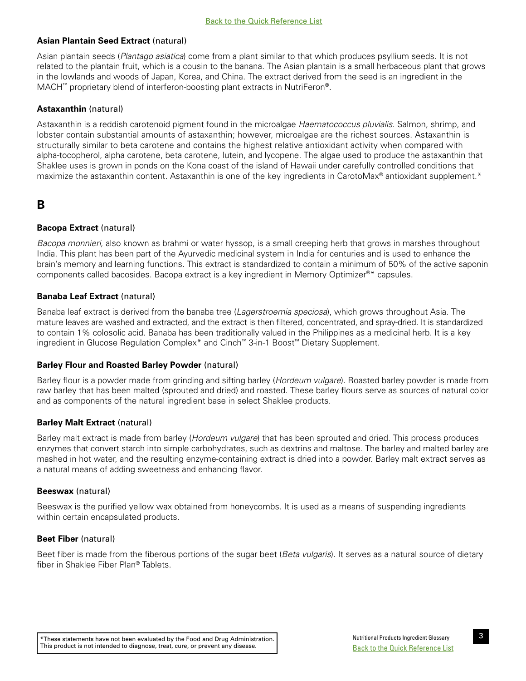# <span id="page-8-0"></span>**Asian Plantain Seed Extract** (natural)

Asian plantain seeds (*Plantago asiatica*) come from a plant similar to that which produces psyllium seeds. It is not related to the plantain fruit, which is a cousin to the banana. The Asian plantain is a small herbaceous plant that grows in the lowlands and woods of Japan, Korea, and China. The extract derived from the seed is an ingredient in the MACH™ proprietary blend of interferon-boosting plant extracts in NutriFeron®.

# **Astaxanthin** (natural)

Astaxanthin is a reddish carotenoid pigment found in the microalgae *Haematococcus pluvialis*. Salmon, shrimp, and lobster contain substantial amounts of astaxanthin; however, microalgae are the richest sources. Astaxanthin is structurally similar to beta carotene and contains the highest relative antioxidant activity when compared with alpha-tocopherol, alpha carotene, beta carotene, lutein, and lycopene. The algae used to produce the astaxanthin that Shaklee uses is grown in ponds on the Kona coast of the island of Hawaii under carefully controlled conditions that maximize the astaxanthin content. Astaxanthin is one of the key ingredients in CarotoMax<sup>®</sup> antioxidant supplement.\*

# **B**

# **Bacopa Extract** (natural)

*Bacopa monnieri*, also known as brahmi or water hyssop, is a small creeping herb that grows in marshes throughout India. This plant has been part of the Ayurvedic medicinal system in India for centuries and is used to enhance the brain's memory and learning functions. This extract is standardized to contain a minimum of 50% of the active saponin components called bacosides. Bacopa extract is a key ingredient in Memory Optimizer®\* capsules.

# **Banaba Leaf Extract** (natural)

Banaba leaf extract is derived from the banaba tree (*Lagerstroemia speciosa*), which grows throughout Asia. The mature leaves are washed and extracted, and the extract is then filtered, concentrated, and spray-dried. It is standardized to contain 1% colosolic acid. Banaba has been traditionally valued in the Philippines as a medicinal herb. It is a key ingredient in Glucose Regulation Complex\* and Cinch™ 3-in-1 Boost™ Dietary Supplement.

## **Barley Flour and Roasted Barley Powder** (natural)

Barley flour is a powder made from grinding and sifting barley (*Hordeum vulgare*). Roasted barley powder is made from raw barley that has been malted (sprouted and dried) and roasted. These barley flours serve as sources of natural color and as components of the natural ingredient base in select Shaklee products.

## **Barley Malt Extract** (natural)

Barley malt extract is made from barley (*Hordeum vulgare*) that has been sprouted and dried. This process produces enzymes that convert starch into simple carbohydrates, such as dextrins and maltose. The barley and malted barley are mashed in hot water, and the resulting enzyme-containing extract is dried into a powder. Barley malt extract serves as a natural means of adding sweetness and enhancing flavor.

## **Beeswax** (natural)

Beeswax is the purified yellow wax obtained from honeycombs. It is used as a means of suspending ingredients within certain encapsulated products.

## **Beet Fiber** (natural)

Beet fiber is made from the fiberous portions of the sugar beet (*Beta vulgaris*). It serves as a natural source of dietary fiber in Shaklee Fiber Plan® Tablets.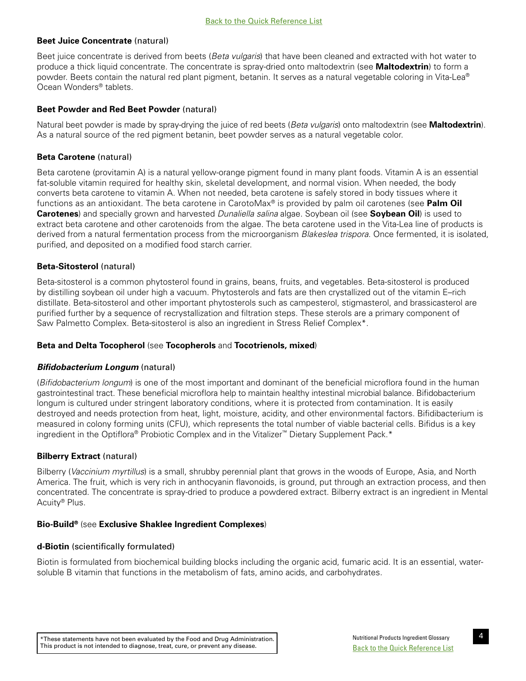## <span id="page-9-0"></span>**Beet Juice Concentrate** (natural)

Beet juice concentrate is derived from beets (*Beta vulgaris*) that have been cleaned and extracted with hot water to produce a thick liquid concentrate. The concentrate is spray-dried onto maltodextrin (see **Maltodextrin**) to form a powder. Beets contain the natural red plant pigment, betanin. It serves as a natural vegetable coloring in Vita-Lea® Ocean Wonders® tablets.

# **Beet Powder and Red Beet Powder** (natural)

Natural beet powder is made by spray-drying the juice of red beets (*Beta vulgaris*) onto maltodextrin (see **Maltodextrin**). As a natural source of the red pigment betanin, beet powder serves as a natural vegetable color.

# **Beta Carotene** (natural)

Beta carotene (provitamin A) is a natural yellow-orange pigment found in many plant foods. Vitamin A is an essential fat-soluble vitamin required for healthy skin, skeletal development, and normal vision. When needed, the body converts beta carotene to vitamin A. When not needed, beta carotene is safely stored in body tissues where it functions as an antioxidant. The beta carotene in CarotoMax® is provided by palm oil carotenes (see **Palm Oil Carotenes**) and specially grown and harvested *Dunaliella salina* algae. Soybean oil (see **Soybean Oil**) is used to extract beta carotene and other carotenoids from the algae. The beta carotene used in the Vita-Lea line of products is derived from a natural fermentation process from the microorganism *Blakeslea trispora*. Once fermented, it is isolated, purified, and deposited on a modified food starch carrier.

# **Beta-Sitosterol** (natural)

Beta-sitosterol is a common phytosterol found in grains, beans, fruits, and vegetables. Beta-sitosterol is produced by distilling soybean oil under high a vacuum. Phytosterols and fats are then crystallized out of the vitamin E–rich distillate. Beta-sitosterol and other important phytosterols such as campesterol, stigmasterol, and brassicasterol are purified further by a sequence of recrystallization and filtration steps. These sterols are a primary component of Saw Palmetto Complex. Beta-sitosterol is also an ingredient in Stress Relief Complex\*.

## **Beta and Delta Tocopherol** (see **Tocopherols** and **Tocotrienols, mixed**)

## *Bifidobacterium Longum* (natural)

(*Bifidobacterium longum*) is one of the most important and dominant of the beneficial microflora found in the human gastrointestinal tract. These beneficial microflora help to maintain healthy intestinal microbial balance. Bifidobacterium longum is cultured under stringent laboratory conditions, where it is protected from contamination. It is easily destroyed and needs protection from heat, light, moisture, acidity, and other environmental factors. Bifidibacterium is measured in colony forming units (CFU), which represents the total number of viable bacterial cells. Bifidus is a key ingredient in the Optiflora® Probiotic Complex and in the Vitalizer™ Dietary Supplement Pack.\*

## **Bilberry Extract** (natural)

Bilberry (*Vaccinium myrtillus*) is a small, shrubby perennial plant that grows in the woods of Europe, Asia, and North America. The fruit, which is very rich in anthocyanin flavonoids, is ground, put through an extraction process, and then concentrated. The concentrate is spray-dried to produce a powdered extract. Bilberry extract is an ingredient in Mental Acuity® Plus.

## **Bio-Build®** (see **Exclusive Shaklee Ingredient Complexes**)

## **d-Biotin** (scientifically formulated)

Biotin is formulated from biochemical building blocks including the organic acid, fumaric acid. It is an essential, watersoluble B vitamin that functions in the metabolism of fats, amino acids, and carbohydrates.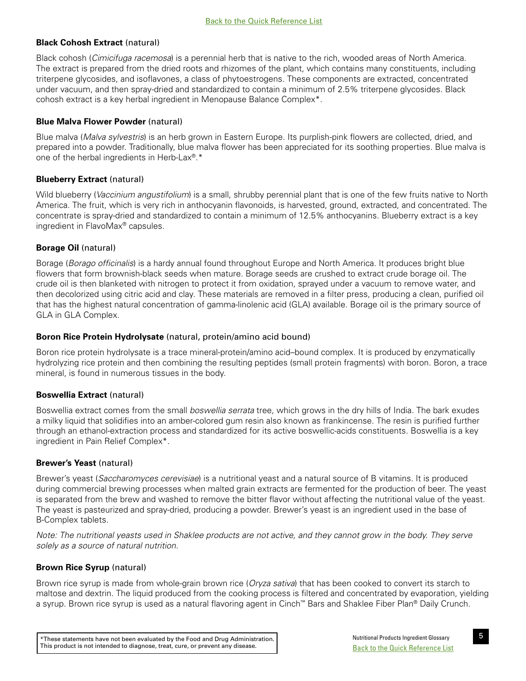# <span id="page-10-0"></span>**Black Cohosh Extract** (natural)

Black cohosh (*Cimicifuga racemosa*) is a perennial herb that is native to the rich, wooded areas of North America. The extract is prepared from the dried roots and rhizomes of the plant, which contains many constituents, including triterpene glycosides, and isoflavones, a class of phytoestrogens. These components are extracted, concentrated under vacuum, and then spray-dried and standardized to contain a minimum of 2.5% triterpene glycosides. Black cohosh extract is a key herbal ingredient in Menopause Balance Complex\*.

# **Blue Malva Flower Powder** (natural)

Blue malva (*Malva sylvestris*) is an herb grown in Eastern Europe. Its purplish-pink flowers are collected, dried, and prepared into a powder. Traditionally, blue malva flower has been appreciated for its soothing properties. Blue malva is one of the herbal ingredients in Herb-Lax®.\*

# **Blueberry Extract** (natural)

Wild blueberry (*Vaccinium angustifolium*) is a small, shrubby perennial plant that is one of the few fruits native to North America. The fruit, which is very rich in anthocyanin flavonoids, is harvested, ground, extracted, and concentrated. The concentrate is spray-dried and standardized to contain a minimum of 12.5% anthocyanins. Blueberry extract is a key ingredient in FlavoMax® capsules.

# **Borage Oil** (natural)

Borage (*Borago officinalis*) is a hardy annual found throughout Europe and North America. It produces bright blue flowers that form brownish-black seeds when mature. Borage seeds are crushed to extract crude borage oil. The crude oil is then blanketed with nitrogen to protect it from oxidation, sprayed under a vacuum to remove water, and then decolorized using citric acid and clay. These materials are removed in a filter press, producing a clean, purified oil that has the highest natural concentration of gamma-linolenic acid (GLA) available. Borage oil is the primary source of GLA in GLA Complex.

## **Boron Rice Protein Hydrolysate** (natural, protein/amino acid bound)

Boron rice protein hydrolysate is a trace mineral-protein/amino acid–bound complex. It is produced by enzymatically hydrolyzing rice protein and then combining the resulting peptides (small protein fragments) with boron. Boron, a trace mineral, is found in numerous tissues in the body.

# **Boswellia Extract** (natural)

Boswellia extract comes from the small *boswellia serrata* tree, which grows in the dry hills of India. The bark exudes a milky liquid that solidifies into an amber-colored gum resin also known as frankincense. The resin is purified further through an ethanol-extraction process and standardized for its active boswellic-acids constituents. Boswellia is a key ingredient in Pain Relief Complex\*.

## **Brewer's Yeast** (natural)

Brewer's yeast (*Saccharomyces cerevisiae*) is a nutritional yeast and a natural source of B vitamins. It is produced during commercial brewing processes when malted grain extracts are fermented for the production of beer. The yeast is separated from the brew and washed to remove the bitter flavor without affecting the nutritional value of the yeast. The yeast is pasteurized and spray-dried, producing a powder. Brewer's yeast is an ingredient used in the base of B-Complex tablets.

*Note: The nutritional yeasts used in Shaklee products are not active, and they cannot grow in the body. They serve solely as a source of natural nutrition.* 

# **Brown Rice Syrup** (natural)

Brown rice syrup is made from whole-grain brown rice (*Oryza sativa*) that has been cooked to convert its starch to maltose and dextrin. The liquid produced from the cooking process is filtered and concentrated by evaporation, yielding a syrup. Brown rice syrup is used as a natural flavoring agent in Cinch™ Bars and Shaklee Fiber Plan® Daily Crunch.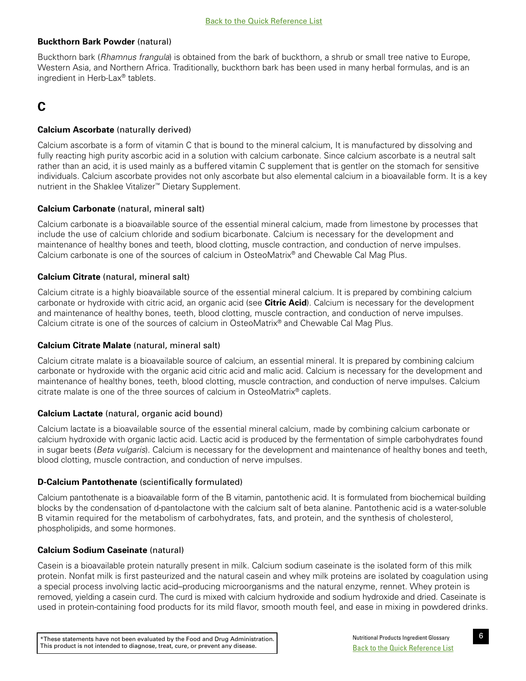## <span id="page-11-0"></span>**Buckthorn Bark Powder** (natural)

Buckthorn bark (*Rhamnus frangula*) is obtained from the bark of buckthorn, a shrub or small tree native to Europe, Western Asia, and Northern Africa. Traditionally, buckthorn bark has been used in many herbal formulas, and is an ingredient in Herb-Lax® tablets.

# **C**

# **Calcium Ascorbate** (naturally derived)

Calcium ascorbate is a form of vitamin C that is bound to the mineral calcium, It is manufactured by dissolving and fully reacting high purity ascorbic acid in a solution with calcium carbonate. Since calcium ascorbate is a neutral salt rather than an acid, it is used mainly as a buffered vitamin C supplement that is gentler on the stomach for sensitive individuals. Calcium ascorbate provides not only ascorbate but also elemental calcium in a bioavailable form. It is a key nutrient in the Shaklee Vitalizer™ Dietary Supplement.

# **Calcium Carbonate** (natural, mineral salt)

Calcium carbonate is a bioavailable source of the essential mineral calcium, made from limestone by processes that include the use of calcium chloride and sodium bicarbonate. Calcium is necessary for the development and maintenance of healthy bones and teeth, blood clotting, muscle contraction, and conduction of nerve impulses. Calcium carbonate is one of the sources of calcium in OsteoMatrix® and Chewable Cal Mag Plus.

# **Calcium Citrate** (natural, mineral salt)

Calcium citrate is a highly bioavailable source of the essential mineral calcium. It is prepared by combining calcium carbonate or hydroxide with citric acid, an organic acid (see **Citric Acid**). Calcium is necessary for the development and maintenance of healthy bones, teeth, blood clotting, muscle contraction, and conduction of nerve impulses. Calcium citrate is one of the sources of calcium in OsteoMatrix® and Chewable Cal Mag Plus.

## **Calcium Citrate Malate** (natural, mineral salt)

Calcium citrate malate is a bioavailable source of calcium, an essential mineral. It is prepared by combining calcium carbonate or hydroxide with the organic acid citric acid and malic acid. Calcium is necessary for the development and maintenance of healthy bones, teeth, blood clotting, muscle contraction, and conduction of nerve impulses. Calcium citrate malate is one of the three sources of calcium in OsteoMatrix® caplets.

## **Calcium Lactate** (natural, organic acid bound)

Calcium lactate is a bioavailable source of the essential mineral calcium, made by combining calcium carbonate or calcium hydroxide with organic lactic acid. Lactic acid is produced by the fermentation of simple carbohydrates found in sugar beets (*Beta vulgaris*). Calcium is necessary for the development and maintenance of healthy bones and teeth, blood clotting, muscle contraction, and conduction of nerve impulses.

## **D-Calcium Pantothenate** (scientifically formulated)

Calcium pantothenate is a bioavailable form of the B vitamin, pantothenic acid. It is formulated from biochemical building blocks by the condensation of d-pantolactone with the calcium salt of beta alanine. Pantothenic acid is a water-soluble B vitamin required for the metabolism of carbohydrates, fats, and protein, and the synthesis of cholesterol, phospholipids, and some hormones.

## **Calcium Sodium Caseinate** (natural)

Casein is a bioavailable protein naturally present in milk. Calcium sodium caseinate is the isolated form of this milk protein. Nonfat milk is first pasteurized and the natural casein and whey milk proteins are isolated by coagulation using a special process involving lactic acid–producing microorganisms and the natural enzyme, rennet. Whey protein is removed, yielding a casein curd. The curd is mixed with calcium hydroxide and sodium hydroxide and dried. Caseinate is used in protein-containing food products for its mild flavor, smooth mouth feel, and ease in mixing in powdered drinks.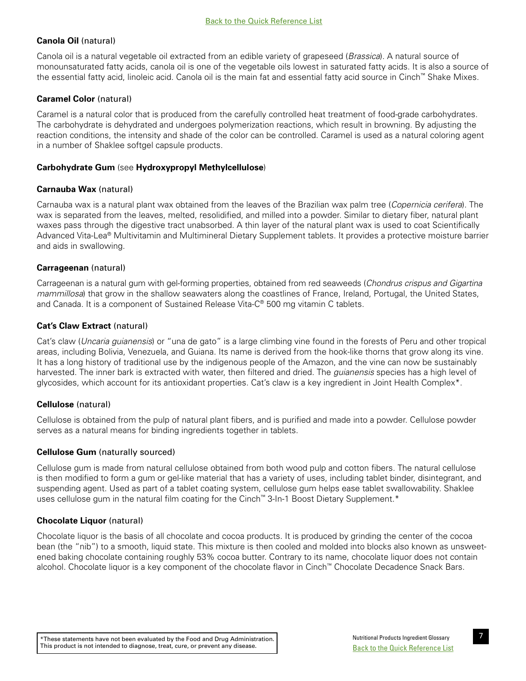# <span id="page-12-0"></span>**Canola Oil** (natural)

Canola oil is a natural vegetable oil extracted from an edible variety of grapeseed (*Brassica*). A natural source of monounsaturated fatty acids, canola oil is one of the vegetable oils lowest in saturated fatty acids. It is also a source of the essential fatty acid, linoleic acid. Canola oil is the main fat and essential fatty acid source in Cinch™ Shake Mixes.

# **Caramel Color** (natural)

Caramel is a natural color that is produced from the carefully controlled heat treatment of food-grade carbohydrates. The carbohydrate is dehydrated and undergoes polymerization reactions, which result in browning. By adjusting the reaction conditions, the intensity and shade of the color can be controlled. Caramel is used as a natural coloring agent in a number of Shaklee softgel capsule products.

# **Carbohydrate Gum** (see **Hydroxypropyl Methylcellulose**)

# **Carnauba Wax** (natural)

Carnauba wax is a natural plant wax obtained from the leaves of the Brazilian wax palm tree (*Copernicia cerifera*). The wax is separated from the leaves, melted, resolidified, and milled into a powder. Similar to dietary fiber, natural plant waxes pass through the digestive tract unabsorbed. A thin layer of the natural plant wax is used to coat Scientifically Advanced Vita-Lea® Multivitamin and Multimineral Dietary Supplement tablets. It provides a protective moisture barrier and aids in swallowing.

# **Carrageenan** (natural)

Carrageenan is a natural gum with gel-forming properties, obtained from red seaweeds (*Chondrus crispus and Gigartina mammillosa*) that grow in the shallow seawaters along the coastlines of France, Ireland, Portugal, the United States, and Canada. It is a component of Sustained Release Vita-C® 500 mg vitamin C tablets.

# **Cat's Claw Extract** (natural)

Cat's claw (*Uncaria guianensis*) or "una de gato" is a large climbing vine found in the forests of Peru and other tropical areas, including Bolivia, Venezuela, and Guiana. Its name is derived from the hook-like thorns that grow along its vine. It has a long history of traditional use by the indigenous people of the Amazon, and the vine can now be sustainably harvested. The inner bark is extracted with water, then filtered and dried. The *guianensis* species has a high level of glycosides, which account for its antioxidant properties. Cat's claw is a key ingredient in Joint Health Complex\*.

# **Cellulose** (natural)

Cellulose is obtained from the pulp of natural plant fibers, and is purified and made into a powder. Cellulose powder serves as a natural means for binding ingredients together in tablets.

## **Cellulose Gum** (naturally sourced)

Cellulose gum is made from natural cellulose obtained from both wood pulp and cotton fibers. The natural cellulose is then modified to form a gum or gel-like material that has a variety of uses, including tablet binder, disintegrant, and suspending agent. Used as part of a tablet coating system, cellulose gum helps ease tablet swallowability. Shaklee uses cellulose gum in the natural film coating for the Cinch™ 3-In-1 Boost Dietary Supplement.\*

## **Chocolate Liquor** (natural)

Chocolate liquor is the basis of all chocolate and cocoa products. It is produced by grinding the center of the cocoa bean (the "nib") to a smooth, liquid state. This mixture is then cooled and molded into blocks also known as unsweetened baking chocolate containing roughly 53% cocoa butter. Contrary to its name, chocolate liquor does not contain alcohol. Chocolate liquor is a key component of the chocolate flavor in Cinch™ Chocolate Decadence Snack Bars.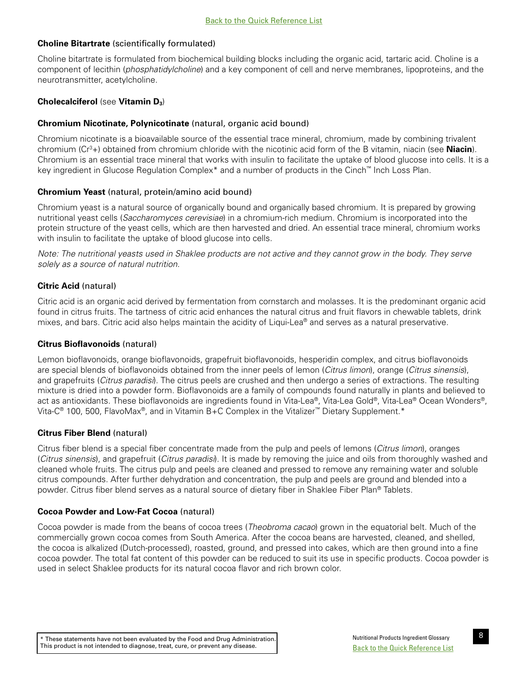# <span id="page-13-0"></span>**Choline Bitartrate** (scientifically formulated)

Choline bitartrate is formulated from biochemical building blocks including the organic acid, tartaric acid. Choline is a component of lecithin (*phosphatidylcholine*) and a key component of cell and nerve membranes, lipoproteins, and the neurotransmitter, acetylcholine.

# **Cholecalciferol** (see **Vitamin D3**)

# **Chromium Nicotinate, Polynicotinate** (natural, organic acid bound)

Chromium nicotinate is a bioavailable source of the essential trace mineral, chromium, made by combining trivalent chromium (Cr3 +) obtained from chromium chloride with the nicotinic acid form of the B vitamin, niacin (see **Niacin**). Chromium is an essential trace mineral that works with insulin to facilitate the uptake of blood glucose into cells. It is a key ingredient in Glucose Regulation Complex\* and a number of products in the Cinch™ Inch Loss Plan.

# **Chromium Yeast** (natural, protein/amino acid bound)

Chromium yeast is a natural source of organically bound and organically based chromium. It is prepared by growing nutritional yeast cells (*Saccharomyces cerevisiae*) in a chromium-rich medium. Chromium is incorporated into the protein structure of the yeast cells, which are then harvested and dried. An essential trace mineral, chromium works with insulin to facilitate the uptake of blood glucose into cells.

*Note: The nutritional yeasts used in Shaklee products are not active and they cannot grow in the body. They serve solely as a source of natural nutrition.* 

# **Citric Acid** (natural)

Citric acid is an organic acid derived by fermentation from cornstarch and molasses. It is the predominant organic acid found in citrus fruits. The tartness of citric acid enhances the natural citrus and fruit flavors in chewable tablets, drink mixes, and bars. Citric acid also helps maintain the acidity of Liqui-Lea® and serves as a natural preservative.

## **Citrus Bioflavonoids** (natural)

Lemon bioflavonoids, orange bioflavonoids, grapefruit bioflavonoids, hesperidin complex, and citrus bioflavonoids are special blends of bioflavonoids obtained from the inner peels of lemon (*Citrus limon*), orange (*Citrus sinensis*), and grapefruits (*Citrus paradisi*). The citrus peels are crushed and then undergo a series of extractions. The resulting mixture is dried into a powder form. Bioflavonoids are a family of compounds found naturally in plants and believed to act as antioxidants. These bioflavonoids are ingredients found in Vita-Lea®, Vita-Lea Gold®, Vita-Lea® Ocean Wonders®, Vita-C® 100, 500, FlavoMax®, and in Vitamin B+C Complex in the Vitalizer™ Dietary Supplement.\*

# **Citrus Fiber Blend** (natural)

Citrus fiber blend is a special fiber concentrate made from the pulp and peels of lemons (*Citrus limon*), oranges (*Citrus sinensis*), and grapefruit (*Citrus paradisi*). It is made by removing the juice and oils from thoroughly washed and cleaned whole fruits. The citrus pulp and peels are cleaned and pressed to remove any remaining water and soluble citrus compounds. After further dehydration and concentration, the pulp and peels are ground and blended into a powder. Citrus fiber blend serves as a natural source of dietary fiber in Shaklee Fiber Plan® Tablets.

# **Cocoa Powder and Low-Fat Cocoa** (natural)

Cocoa powder is made from the beans of cocoa trees (*Theobroma cacao*) grown in the equatorial belt. Much of the commercially grown cocoa comes from South America. After the cocoa beans are harvested, cleaned, and shelled, the cocoa is alkalized (Dutch-processed), roasted, ground, and pressed into cakes, which are then ground into a fine cocoa powder. The total fat content of this powder can be reduced to suit its use in specific products. Cocoa powder is used in select Shaklee products for its natural cocoa flavor and rich brown color.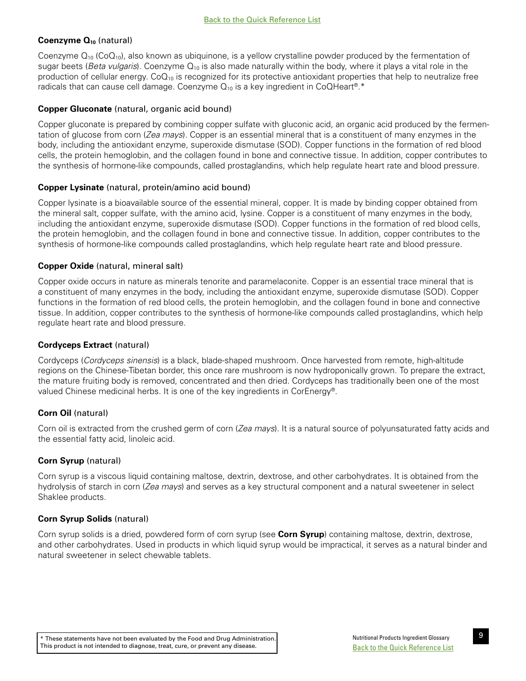# <span id="page-14-0"></span>Coenzyme Q<sub>10</sub> (natural)

Coenzyme  $Q_{10}$  (Co $Q_{10}$ ), also known as ubiquinone, is a yellow crystalline powder produced by the fermentation of sugar beets (*Beta vulgaris*). Coenzyme Q10 is also made naturally within the body, where it plays a vital role in the production of cellular energy.  $CoQ_{10}$  is recognized for its protective antioxidant properties that help to neutralize free radicals that can cause cell damage. Coenzyme  $Q_{10}$  is a key ingredient in CoQHeart®.\*

# **Copper Gluconate** (natural, organic acid bound)

Copper gluconate is prepared by combining copper sulfate with gluconic acid, an organic acid produced by the fermentation of glucose from corn (*Zea mays*). Copper is an essential mineral that is a constituent of many enzymes in the body, including the antioxidant enzyme, superoxide dismutase (SOD). Copper functions in the formation of red blood cells, the protein hemoglobin, and the collagen found in bone and connective tissue. In addition, copper contributes to the synthesis of hormone-like compounds, called prostaglandins, which help regulate heart rate and blood pressure.

# **Copper Lysinate** (natural, protein/amino acid bound)

Copper lysinate is a bioavailable source of the essential mineral, copper. It is made by binding copper obtained from the mineral salt, copper sulfate, with the amino acid, lysine. Copper is a constituent of many enzymes in the body, including the antioxidant enzyme, superoxide dismutase (SOD). Copper functions in the formation of red blood cells, the protein hemoglobin, and the collagen found in bone and connective tissue. In addition, copper contributes to the synthesis of hormone-like compounds called prostaglandins, which help regulate heart rate and blood pressure.

# **Copper Oxide** (natural, mineral salt)

Copper oxide occurs in nature as minerals tenorite and paramelaconite. Copper is an essential trace mineral that is a constituent of many enzymes in the body, including the antioxidant enzyme, superoxide dismutase (SOD). Copper functions in the formation of red blood cells, the protein hemoglobin, and the collagen found in bone and connective tissue. In addition, copper contributes to the synthesis of hormone-like compounds called prostaglandins, which help regulate heart rate and blood pressure.

# **Cordyceps Extract** (natural)

Cordyceps (*Cordyceps sinensis*) is a black, blade-shaped mushroom. Once harvested from remote, high-altitude regions on the Chinese-Tibetan border, this once rare mushroom is now hydroponically grown. To prepare the extract, the mature fruiting body is removed, concentrated and then dried. Cordyceps has traditionally been one of the most valued Chinese medicinal herbs. It is one of the key ingredients in CorEnergy®.

# **Corn Oil** (natural)

Corn oil is extracted from the crushed germ of corn (*Zea mays*). It is a natural source of polyunsaturated fatty acids and the essential fatty acid, linoleic acid.

# **Corn Syrup** (natural)

Corn syrup is a viscous liquid containing maltose, dextrin, dextrose, and other carbohydrates. It is obtained from the hydrolysis of starch in corn (*Zea mays*) and serves as a key structural component and a natural sweetener in select Shaklee products.

# **Corn Syrup Solids** (natural)

Corn syrup solids is a dried, powdered form of corn syrup (see **Corn Syrup**) containing maltose, dextrin, dextrose, and other carbohydrates. Used in products in which liquid syrup would be impractical, it serves as a natural binder and natural sweetener in select chewable tablets.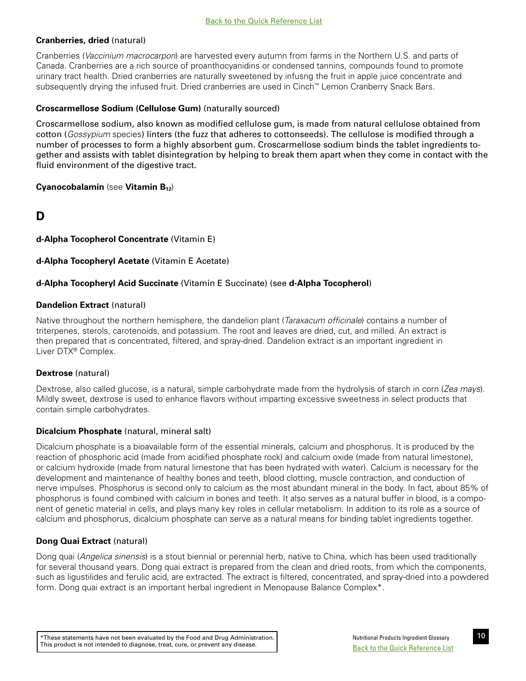# <span id="page-15-0"></span>**Cranberries, dried** (natural)

Cranberries (*Vaccinium macrocarpon*) are harvested every autumn from farms in the Northern U.S. and parts of Canada. Cranberries are a rich source of proanthocyanidins or condensed tannins, compounds found to promote urinary tract health. Dried cranberries are naturally sweetened by infusng the fruit in apple juice concentrate and subsequently drying the infused fruit. Dried cranberries are used in Cinch™ Lemon Cranberry Snack Bars.

# **Croscarmellose Sodium (Cellulose Gum)** (naturally sourced)

Croscarmellose sodium, also known as modified cellulose gum, is made from natural cellulose obtained from cotton (*Gossypium* species) linters (the fuzz that adheres to cottonseeds). The cellulose is modified through a number of processes to form a highly absorbent gum. Croscarmellose sodium binds the tablet ingredients together and assists with tablet disintegration by helping to break them apart when they come in contact with the fluid environment of the digestive tract.

# **Cyanocobalamin** (see **Vitamin B**<sub>12</sub>)

# **D**

# **d-Alpha Tocopherol Concentrate** (Vitamin E)

# **d-Alpha Tocopheryl Acetate** (Vitamin E Acetate)

# **d-Alpha Tocopheryl Acid Succinate** (Vitamin E Succinate) (see **d-Alpha Tocopherol**)

# **Dandelion Extract (natural)**

Native throughout the northern hemisphere, the dandelion plant (*Taraxacum officinale*) contains a number of triterpenes, sterols, carotenoids, and potassium. The root and leaves are dried, cut, and milled. An extract is then prepared that is concentrated, filtered, and spray-dried. Dandelion extract is an important ingredient in Liver DTX® Complex.

# **Dextrose** (natural)

Dextrose, also called glucose, is a natural, simple carbohydrate made from the hydrolysis of starch in corn (*Zea mays*). Mildly sweet, dextrose is used to enhance flavors without imparting excessive sweetness in select products that contain simple carbohydrates.

# **Dicalcium Phosphate** (natural, mineral salt)

Dicalcium phosphate is a bioavailable form of the essential minerals, calcium and phosphorus. It is produced by the reaction of phosphoric acid (made from acidified phosphate rock) and calcium oxide (made from natural limestone), or calcium hydroxide (made from natural limestone that has been hydrated with water). Calcium is necessary for the development and maintenance of healthy bones and teeth, blood clotting, muscle contraction, and conduction of nerve impulses. Phosphorus is second only to calcium as the most abundant mineral in the body. In fact, about 85% of phosphorus is found combined with calcium in bones and teeth. It also serves as a natural buffer in blood, is a component of genetic material in cells, and plays many key roles in cellular metabolism. In addition to its role as a source of calcium and phosphorus, dicalcium phosphate can serve as a natural means for binding tablet ingredients together.

# **Dong Quai Extract** (natural)

Dong quai (*Angelica sinensis*) is a stout biennial or perennial herb, native to China, which has been used traditionally for several thousand years. Dong quai extract is prepared from the clean and dried roots, from which the components, such as ligustilides and ferulic acid, are extracted. The extract is filtered, concentrated, and spray-dried into a powdered form. Dong quai extract is an important herbal ingredient in Menopause Balance Complex\*.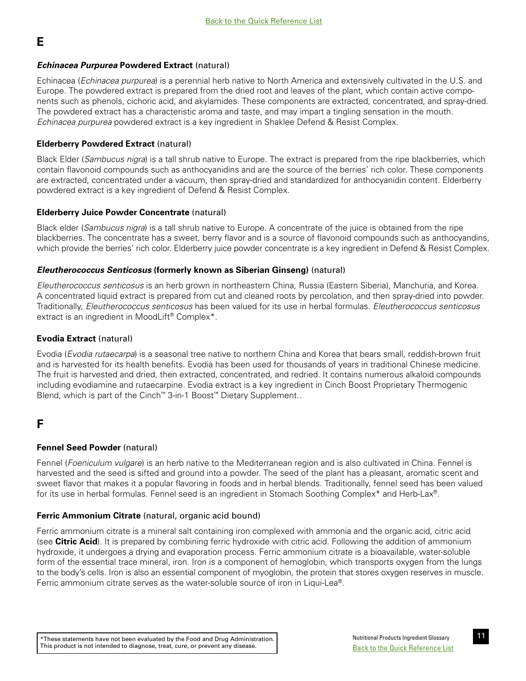# *Echinacea Purpurea* **Powdered Extract** (natural)

Echinacea (*Echinacea purpurea*) is a perennial herb native to North America and extensively cultivated in the U.S. and Europe. The powdered extract is prepared from the dried root and leaves of the plant, which contain active components such as phenols, cichoric acid, and akylamides. These components are extracted, concentrated, and spray-dried. The powdered extract has a characteristic aroma and taste, and may impart a tingling sensation in the mouth. *Echinacea purpurea* powdered extract is a key ingredient in Shaklee Defend & Resist Complex.

# **Elderberry Powdered Extract** (natural)

Black Elder (*Sambucus nigra*) is a tall shrub native to Europe. The extract is prepared from the ripe blackberries, which contain flavonoid compounds such as anthocyanidins and are the source of the berries' rich color. These components are extracted, concentrated under a vacuum, then spray-dried and standardized for anthocyanidin content. Elderberry powdered extract is a key ingredient of Defend & Resist Complex.

# **Elderberry Juice Powder Concentrate** (natural)

Black elder (*Sambucus nigra*) is a tall shrub native to Europe. A concentrate of the juice is obtained from the ripe blackberries. The concentrate has a sweet, berry flavor and is a source of flavonoid compounds such as anthocyandins, which provide the berries' rich color. Elderberry juice powder concentrate is a key ingredient in Defend & Resist Complex.

# *Eleutherococcus Senticosus* **(formerly known as Siberian Ginseng)** (natural)

*Eleutherococcus senticosus* is an herb grown in northeastern China, Russia (Eastern Siberia), Manchuria, and Korea. A concentrated liquid extract is prepared from cut and cleaned roots by percolation, and then spray-dried into powder. Traditionally, *Eleutherococcus senticosus* has been valued for its use in herbal formulas. *Eleutherococcus senticosus* extract is an ingredient in MoodLift® Complex\*.

# **Evodia Extract** (natural)

Evodia (*Evodia rutaecarpa*) is a seasonal tree native to northern China and Korea that bears small, reddish-brown fruit and is harvested for its health benefits. Evodia has been used for thousands of years in traditional Chinese medicine. The fruit is harvested and dried, then extracted, concentrated, and redried. It contains numerous alkaloid compounds including evodiamine and rutaecarpine. Evodia extract is a key ingredient in Cinch Boost Proprietary Thermogenic Blend, which is part of the Cinch™ 3-in-1 Boost™ Dietary Supplement..

# **F**

<span id="page-16-0"></span>**E** 

# **Fennel Seed Powder** (natural)

Fennel (*Foeniculum vulgare*) is an herb native to the Mediterranean region and is also cultivated in China. Fennel is harvested and the seed is sifted and ground into a powder. The seed of the plant has a pleasant, aromatic scent and sweet flavor that makes it a popular flavoring in foods and in herbal blends. Traditionally, fennel seed has been valued for its use in herbal formulas. Fennel seed is an ingredient in Stomach Soothing Complex<sup>\*</sup> and Herb-Lax®.

# **Ferric Ammonium Citrate** (natural, organic acid bound)

Ferric ammonium citrate is a mineral salt containing iron complexed with ammonia and the organic acid, citric acid (see **Citric Acid**). It is prepared by combining ferric hydroxide with citric acid. Following the addition of ammonium hydroxide, it undergoes a drying and evaporation process. Ferric ammonium citrate is a bioavailable, water-soluble form of the essential trace mineral, iron. Iron is a component of hemoglobin, which transports oxygen from the lungs to the body's cells. Iron is also an essential component of myoglobin, the protein that stores oxygen reserves in muscle. Ferric ammonium citrate serves as the water-soluble source of iron in Liqui-Lea®.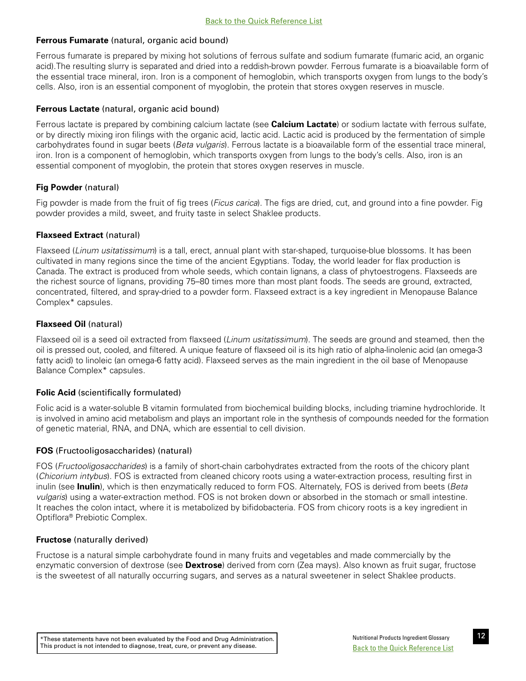# <span id="page-17-0"></span>**Ferrous Fumarate** (natural, organic acid bound)

Ferrous fumarate is prepared by mixing hot solutions of ferrous sulfate and sodium fumarate (fumaric acid, an organic acid).The resulting slurry is separated and dried into a reddish-brown powder. Ferrous fumarate is a bioavailable form of the essential trace mineral, iron. Iron is a component of hemoglobin, which transports oxygen from lungs to the body's cells. Also, iron is an essential component of myoglobin, the protein that stores oxygen reserves in muscle.

# **Ferrous Lactate** (natural, organic acid bound)

Ferrous lactate is prepared by combining calcium lactate (see **Calcium Lactate**) or sodium lactate with ferrous sulfate, or by directly mixing iron filings with the organic acid, lactic acid. Lactic acid is produced by the fermentation of simple carbohydrates found in sugar beets (*Beta vulgaris*). Ferrous lactate is a bioavailable form of the essential trace mineral, iron. Iron is a component of hemoglobin, which transports oxygen from lungs to the body's cells. Also, iron is an essential component of myoglobin, the protein that stores oxygen reserves in muscle.

# **Fig Powder** (natural)

Fig powder is made from the fruit of fig trees (*Ficus carica*). The figs are dried, cut, and ground into a fine powder. Fig powder provides a mild, sweet, and fruity taste in select Shaklee products.

# **Flaxseed Extract** (natural)

Flaxseed (*Linum usitatissimum*) is a tall, erect, annual plant with star-shaped, turquoise-blue blossoms. It has been cultivated in many regions since the time of the ancient Egyptians. Today, the world leader for flax production is Canada. The extract is produced from whole seeds, which contain lignans, a class of phytoestrogens. Flaxseeds are the richest source of lignans, providing 75–80 times more than most plant foods. The seeds are ground, extracted, concentrated, filtered, and spray-dried to a powder form. Flaxseed extract is a key ingredient in Menopause Balance Complex\* capsules.

# **Flaxseed Oil** (natural)

Flaxseed oil is a seed oil extracted from flaxseed (*Linum usitatissimum*). The seeds are ground and steamed, then the oil is pressed out, cooled, and filtered. A unique feature of flaxseed oil is its high ratio of alpha-linolenic acid (an omega-3 fatty acid) to linoleic (an omega-6 fatty acid). Flaxseed serves as the main ingredient in the oil base of Menopause Balance Complex\* capsules.

# **Folic Acid** (scientifically formulated)

Folic acid is a water-soluble B vitamin formulated from biochemical building blocks, including triamine hydrochloride. It is involved in amino acid metabolism and plays an important role in the synthesis of compounds needed for the formation of genetic material, RNA, and DNA, which are essential to cell division.

## **FOS** (Fructooligosaccharides) (natural)

FOS (*Fructooligosaccharides*) is a family of short-chain carbohydrates extracted from the roots of the chicory plant (*Chicorium intybus*). FOS is extracted from cleaned chicory roots using a water-extraction process, resulting first in inulin (see **Inulin**), which is then enzymatically reduced to form FOS. Alternately, FOS is derived from beets (*Beta vulgaris*) using a water-extraction method. FOS is not broken down or absorbed in the stomach or small intestine. It reaches the colon intact, where it is metabolized by bifidobacteria. FOS from chicory roots is a key ingredient in Optiflora® Prebiotic Complex.

## **Fructose** (naturally derived)

Fructose is a natural simple carbohydrate found in many fruits and vegetables and made commercially by the enzymatic conversion of dextrose (see **Dextrose**) derived from corn (Zea mays). Also known as fruit sugar, fructose is the sweetest of all naturally occurring sugars, and serves as a natural sweetener in select Shaklee products.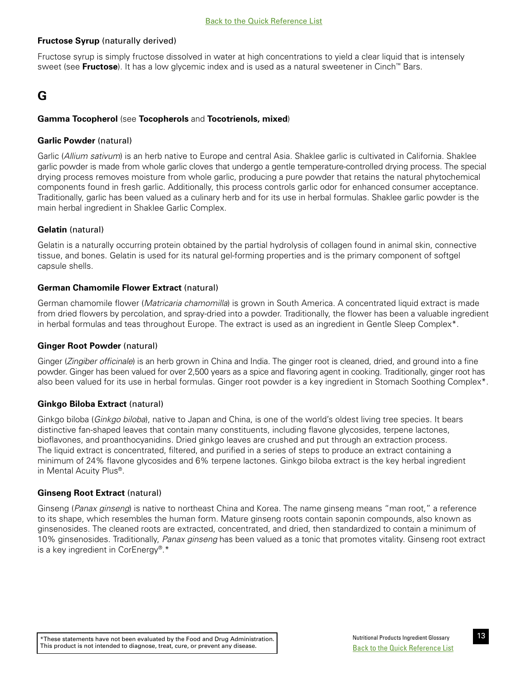# <span id="page-18-0"></span>**Fructose Syrup** (naturally derived)

Fructose syrup is simply fructose dissolved in water at high concentrations to yield a clear liquid that is intensely sweet (see **Fructose**). It has a low glycemic index and is used as a natural sweetener in Cinch<sup>™</sup> Bars.

# **G**

# **Gamma Tocopherol** (see **Tocopherols** and **Tocotrienols, mixed**)

## **Garlic Powder** (natural)

Garlic (*Allium sativum*) is an herb native to Europe and central Asia. Shaklee garlic is cultivated in California. Shaklee garlic powder is made from whole garlic cloves that undergo a gentle temperature-controlled drying process. The special drying process removes moisture from whole garlic, producing a pure powder that retains the natural phytochemical components found in fresh garlic. Additionally, this process controls garlic odor for enhanced consumer acceptance. Traditionally, garlic has been valued as a culinary herb and for its use in herbal formulas. Shaklee garlic powder is the main herbal ingredient in Shaklee Garlic Complex.

# **Gelatin** (natural)

Gelatin is a naturally occurring protein obtained by the partial hydrolysis of collagen found in animal skin, connective tissue, and bones. Gelatin is used for its natural gel-forming properties and is the primary component of softgel capsule shells.

# **German Chamomile Flower Extract** (natural)

German chamomile flower (*Matricaria chamomilla*) is grown in South America. A concentrated liquid extract is made from dried flowers by percolation, and spray-dried into a powder. Traditionally, the flower has been a valuable ingredient in herbal formulas and teas throughout Europe. The extract is used as an ingredient in Gentle Sleep Complex\*.

## **Ginger Root Powder** (natural)

Ginger (*Zingiber officinale*) is an herb grown in China and India. The ginger root is cleaned, dried, and ground into a fine powder. Ginger has been valued for over 2,500 years as a spice and flavoring agent in cooking. Traditionally, ginger root has also been valued for its use in herbal formulas. Ginger root powder is a key ingredient in Stomach Soothing Complex\*.

## **Ginkgo Biloba Extract** (natural)

Ginkgo biloba (*Ginkgo biloba*), native to Japan and China, is one of the world's oldest living tree species. It bears distinctive fan-shaped leaves that contain many constituents, including flavone glycosides, terpene lactones, bioflavones, and proanthocyanidins. Dried ginkgo leaves are crushed and put through an extraction process. The liquid extract is concentrated, filtered, and purified in a series of steps to produce an extract containing a minimum of 24% flavone glycosides and 6% terpene lactones. Ginkgo biloba extract is the key herbal ingredient in Mental Acuity Plus®.

## **Ginseng Root Extract** (natural)

Ginseng (*Panax ginseng*) is native to northeast China and Korea. The name ginseng means "man root," a reference to its shape, which resembles the human form. Mature ginseng roots contain saponin compounds, also known as ginsenosides. The cleaned roots are extracted, concentrated, and dried, then standardized to contain a minimum of 10% ginsenosides. Traditionally, *Panax ginseng* has been valued as a tonic that promotes vitality. Ginseng root extract is a key ingredient in CorEnergy®.\*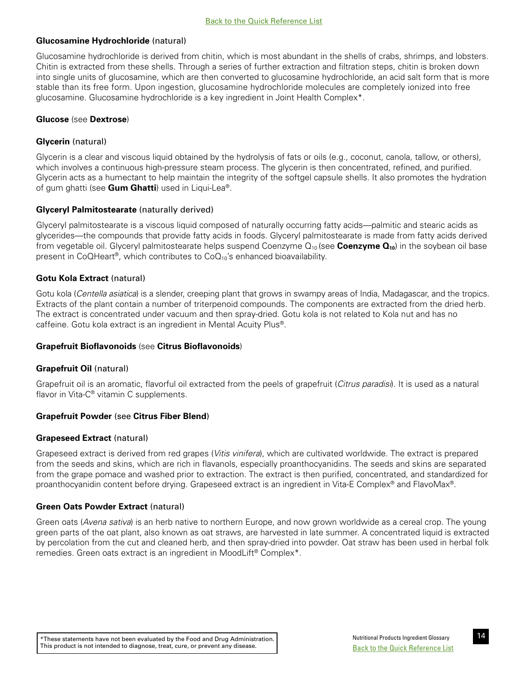# <span id="page-19-0"></span>**Glucosamine Hydrochloride** (natural)

Glucosamine hydrochloride is derived from chitin, which is most abundant in the shells of crabs, shrimps, and lobsters. Chitin is extracted from these shells. Through a series of further extraction and filtration steps, chitin is broken down into single units of glucosamine, which are then converted to glucosamine hydrochloride, an acid salt form that is more stable than its free form. Upon ingestion, glucosamine hydrochloride molecules are completely ionized into free glucosamine. Glucosamine hydrochloride is a key ingredient in Joint Health Complex\*.

## **Glucose** (see **Dextrose**)

# **Glycerin** (natural)

Glycerin is a clear and viscous liquid obtained by the hydrolysis of fats or oils (e.g., coconut, canola, tallow, or others), which involves a continuous high-pressure steam process. The glycerin is then concentrated, refined, and purified. Glycerin acts as a humectant to help maintain the integrity of the softgel capsule shells. It also promotes the hydration of gum ghatti (see **Gum Ghatti**) used in Liqui-Lea®.

# **Glyceryl Palmitostearate** (naturally derived)

Glyceryl palmitostearate is a viscous liquid composed of naturally occurring fatty acids—palmitic and stearic acids as glycerides—the compounds that provide fatty acids in foods. Glyceryl palmitostearate is made from fatty acids derived from vegetable oil. Glyceryl palmitostearate helps suspend Coenzyme Q<sub>10</sub> (see **Coenzyme Q<sub>10</sub>**) in the soybean oil base present in CoQHeart<sup>®</sup>, which contributes to  $CoQ_{10}$ 's enhanced bioavailability.

# **Gotu Kola Extract** (natural)

Gotu kola (*Centella asiatica*) is a slender, creeping plant that grows in swampy areas of India, Madagascar, and the tropics. Extracts of the plant contain a number of triterpenoid compounds. The components are extracted from the dried herb. The extract is concentrated under vacuum and then spray-dried. Gotu kola is not related to Kola nut and has no caffeine. Gotu kola extract is an ingredient in Mental Acuity Plus®.

## **Grapefruit Bioflavonoids** (see **Citrus Bioflavonoids**)

## **Grapefruit Oil** (natural)

Grapefruit oil is an aromatic, flavorful oil extracted from the peels of grapefruit (*Citrus paradisi*). It is used as a natural flavor in Vita-C® vitamin C supplements.

## **Grapefruit Powder** (see **Citrus Fiber Blend**)

## **Grapeseed Extract** (natural)

Grapeseed extract is derived from red grapes (*Vitis vinifera*), which are cultivated worldwide. The extract is prepared from the seeds and skins, which are rich in flavanols, especially proanthocyanidins. The seeds and skins are separated from the grape pomace and washed prior to extraction. The extract is then purified, concentrated, and standardized for proanthocyanidin content before drying. Grapeseed extract is an ingredient in Vita-E Complex® and FlavoMax®.

# **Green Oats Powder Extract** (natural)

Green oats (*Avena sativa*) is an herb native to northern Europe, and now grown worldwide as a cereal crop. The young green parts of the oat plant, also known as oat straws, are harvested in late summer. A concentrated liquid is extracted by percolation from the cut and cleaned herb, and then spray-dried into powder. Oat straw has been used in herbal folk remedies. Green oats extract is an ingredient in MoodLift® Complex\*.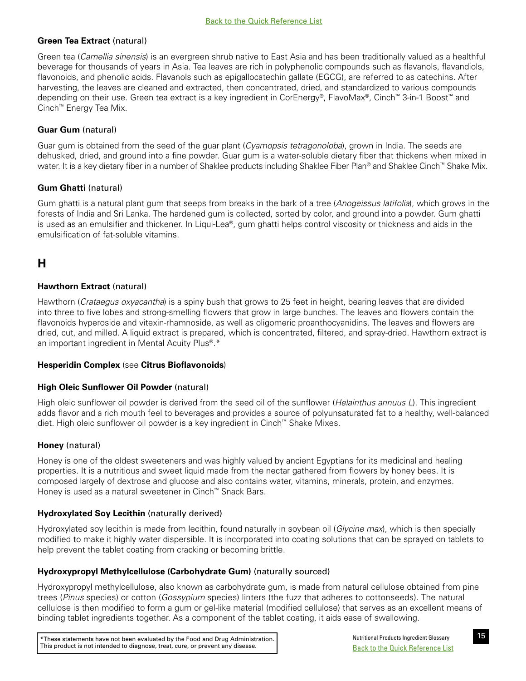# <span id="page-20-0"></span>**Green Tea Extract** (natural)

Green tea (*Camellia sinensis*) is an evergreen shrub native to East Asia and has been traditionally valued as a healthful beverage for thousands of years in Asia. Tea leaves are rich in polyphenolic compounds such as flavanols, flavandiols, flavonoids, and phenolic acids. Flavanols such as epigallocatechin gallate (EGCG), are referred to as catechins. After harvesting, the leaves are cleaned and extracted, then concentrated, dried, and standardized to various compounds depending on their use. Green tea extract is a key ingredient in CorEnergy®, FlavoMax®, Cinch™ 3-in-1 Boost™ and Cinch™ Energy Tea Mix.

# **Guar Gum** (natural)

Guar gum is obtained from the seed of the guar plant (*Cyamopsis tetragonoloba*), grown in India. The seeds are dehusked, dried, and ground into a fine powder. Guar gum is a water-soluble dietary fiber that thickens when mixed in water. It is a key dietary fiber in a number of Shaklee products including Shaklee Fiber Plan® and Shaklee Cinch™ Shake Mix.

# **Gum Ghatti** (natural)

Gum ghatti is a natural plant gum that seeps from breaks in the bark of a tree (*Anogeissus latifolia*), which grows in the forests of India and Sri Lanka. The hardened gum is collected, sorted by color, and ground into a powder. Gum ghatti is used as an emulsifier and thickener. In Liqui-Lea®, gum ghatti helps control viscosity or thickness and aids in the emulsification of fat-soluble vitamins.

# **H**

# **Hawthorn Extract** (natural)

Hawthorn (*Crataegus oxyacantha*) is a spiny bush that grows to 25 feet in height, bearing leaves that are divided into three to five lobes and strong-smelling flowers that grow in large bunches. The leaves and flowers contain the flavonoids hyperoside and vitexin-rhamnoside, as well as oligomeric proanthocyanidins. The leaves and flowers are dried, cut, and milled. A liquid extract is prepared, which is concentrated, filtered, and spray-dried. Hawthorn extract is an important ingredient in Mental Acuity Plus®.\*

## **Hesperidin Complex** (see **Citrus Bioflavonoids**)

## **High Oleic Sunflower Oil Powder** (natural)

High oleic sunflower oil powder is derived from the seed oil of the sunflower (*Helainthus annuus L*). This ingredient adds flavor and a rich mouth feel to beverages and provides a source of polyunsaturated fat to a healthy, well-balanced diet. High oleic sunflower oil powder is a key ingredient in Cinch™ Shake Mixes.

## **Honey** (natural)

Honey is one of the oldest sweeteners and was highly valued by ancient Egyptians for its medicinal and healing properties. It is a nutritious and sweet liquid made from the nectar gathered from flowers by honey bees. It is composed largely of dextrose and glucose and also contains water, vitamins, minerals, protein, and enzymes. Honey is used as a natural sweetener in Cinch™ Snack Bars.

## **Hydroxylated Soy Lecithin** (naturally derived)

Hydroxylated soy lecithin is made from lecithin, found naturally in soybean oil (*Glycine max*), which is then specially modified to make it highly water dispersible. It is incorporated into coating solutions that can be sprayed on tablets to help prevent the tablet coating from cracking or becoming brittle.

## **Hydroxypropyl Methylcellulose (Carbohydrate Gum)** (naturally sourced)

Hydroxypropyl methylcellulose, also known as carbohydrate gum, is made from natural cellulose obtained from pine trees (*Pinus* species) or cotton (*Gossypium* species) linters (the fuzz that adheres to cottonseeds). The natural cellulose is then modified to form a gum or gel-like material (modified cellulose) that serves as an excellent means of binding tablet ingredients together. As a component of the tablet coating, it aids ease of swallowing.

\*These statements have not been evaluated by the Food and Drug Administration. Nutritional Products Ingredient Glossary This product is not intended to diagnose, treat, cure, or prevent any disease.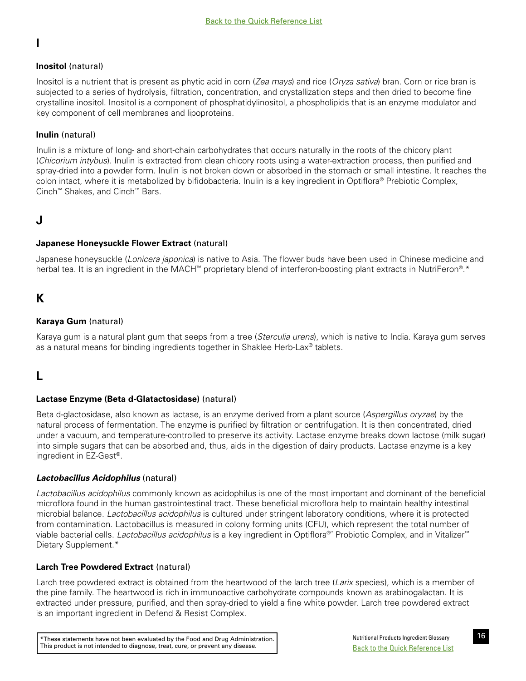# <span id="page-21-0"></span>**I**

# **Inositol** (natural)

Inositol is a nutrient that is present as phytic acid in corn (*Zea mays*) and rice (*Oryza sativa*) bran. Corn or rice bran is subjected to a series of hydrolysis, filtration, concentration, and crystallization steps and then dried to become fine crystalline inositol. Inositol is a component of phosphatidylinositol, a phospholipids that is an enzyme modulator and key component of cell membranes and lipoproteins.

# **Inulin** (natural)

Inulin is a mixture of long- and short-chain carbohydrates that occurs naturally in the roots of the chicory plant (*Chicorium intybus*). Inulin is extracted from clean chicory roots using a water-extraction process, then purified and spray-dried into a powder form. Inulin is not broken down or absorbed in the stomach or small intestine. It reaches the colon intact, where it is metabolized by bifidobacteria. Inulin is a key ingredient in Optiflora® Prebiotic Complex, Cinch™ Shakes, and Cinch™ Bars.

# **J**

# **Japanese Honeysuckle Flower Extract** (natural)

Japanese honeysuckle (*Lonicera japonica*) is native to Asia. The flower buds have been used in Chinese medicine and herbal tea. It is an ingredient in the MACH™ proprietary blend of interferon-boosting plant extracts in NutriFeron®.\*

# **K**

# **Karaya Gum** (natural)

Karaya gum is a natural plant gum that seeps from a tree (*Sterculia urens*), which is native to India. Karaya gum serves as a natural means for binding ingredients together in Shaklee Herb-Lax® tablets.

# **L**

# **Lactase Enzyme (Beta d-Glatactosidase)** (natural)

Beta d-glactosidase, also known as lactase, is an enzyme derived from a plant source (*Aspergillus oryzae*) by the natural process of fermentation. The enzyme is purified by filtration or centrifugation. It is then concentrated, dried under a vacuum, and temperature-controlled to preserve its activity. Lactase enzyme breaks down lactose (milk sugar) into simple sugars that can be absorbed and, thus, aids in the digestion of dairy products. Lactase enzyme is a key ingredient in EZ-Gest®.

# *Lactobacillus Acidophilus* (natural)

*Lactobacillus acidophilus* commonly known as acidophilus is one of the most important and dominant of the beneficial microflora found in the human gastrointestinal tract. These beneficial microflora help to maintain healthy intestinal microbial balance. *Lactobacillus acidophilus* is cultured under stringent laboratory conditions, where it is protected from contamination. Lactobacillus is measured in colony forming units (CFU), which represent the total number of viable bacterial cells. *Lactobacillus acidophilus* is a key ingredient in Optiflora®¨ Probiotic Complex, and in Vitalizer™ Dietary Supplement.\*

# **Larch Tree Powdered Extract** (natural)

Larch tree powdered extract is obtained from the heartwood of the larch tree (*Larix* species), which is a member of the pine family. The heartwood is rich in immunoactive carbohydrate compounds known as arabinogalactan. It is extracted under pressure, purified, and then spray-dried to yield a fine white powder. Larch tree powdered extract is an important ingredient in Defend & Resist Complex.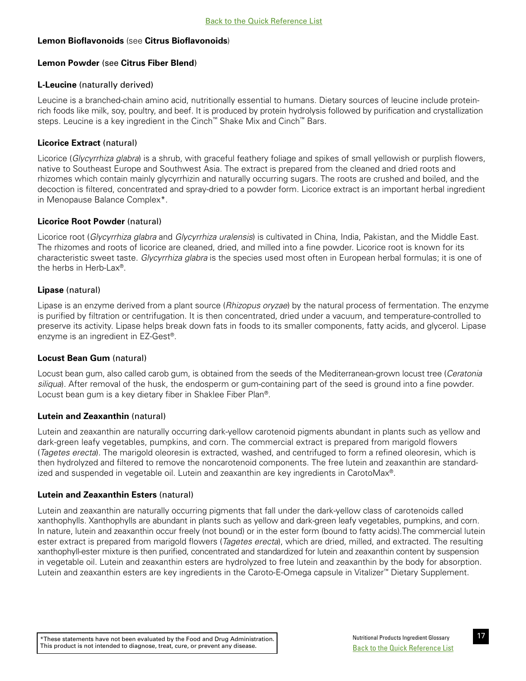# <span id="page-22-0"></span>**Lemon Bioflavonoids** (see **Citrus Bioflavonoids**)

## **Lemon Powder** (see **Citrus Fiber Blend**)

# **L-Leucine** (naturally derived)

Leucine is a branched-chain amino acid, nutritionally essential to humans. Dietary sources of leucine include proteinrich foods like milk, soy, poultry, and beef. It is produced by protein hydrolysis followed by purification and crystallization steps. Leucine is a key ingredient in the Cinch™ Shake Mix and Cinch™ Bars.

# **Licorice Extract** (natural)

Licorice (*Glycyrrhiza glabra*) is a shrub, with graceful feathery foliage and spikes of small yellowish or purplish flowers, native to Southeast Europe and Southwest Asia. The extract is prepared from the cleaned and dried roots and rhizomes which contain mainly glycyrrhizin and naturally occurring sugars. The roots are crushed and boiled, and the decoction is filtered, concentrated and spray-dried to a powder form. Licorice extract is an important herbal ingredient in Menopause Balance Complex\*.

# **Licorice Root Powder** (natural)

Licorice root (*Glycyrrhiza glabra* and *Glycyrrhiza uralensis*) is cultivated in China, India, Pakistan, and the Middle East. The rhizomes and roots of licorice are cleaned, dried, and milled into a fine powder. Licorice root is known for its characteristic sweet taste. *Glycyrrhiza glabra* is the species used most often in European herbal formulas; it is one of the herbs in Herb-Lax<sup>®</sup>.

# **Lipase** (natural)

Lipase is an enzyme derived from a plant source (*Rhizopus oryzae*) by the natural process of fermentation. The enzyme is purified by filtration or centrifugation. It is then concentrated, dried under a vacuum, and temperature-controlled to preserve its activity. Lipase helps break down fats in foods to its smaller components, fatty acids, and glycerol. Lipase enzyme is an ingredient in EZ-Gest®.

## **Locust Bean Gum** (natural)

Locust bean gum, also called carob gum, is obtained from the seeds of the Mediterranean-grown locust tree (*Ceratonia siliqua*). After removal of the husk, the endosperm or gum-containing part of the seed is ground into a fine powder. Locust bean gum is a key dietary fiber in Shaklee Fiber Plan®.

## **Lutein and Zeaxanthin** (natural)

Lutein and zeaxanthin are naturally occurring dark-yellow carotenoid pigments abundant in plants such as yellow and dark-green leafy vegetables, pumpkins, and corn. The commercial extract is prepared from marigold flowers (*Tagetes erecta*). The marigold oleoresin is extracted, washed, and centrifuged to form a refined oleoresin, which is then hydrolyzed and filtered to remove the noncarotenoid components. The free lutein and zeaxanthin are standardized and suspended in vegetable oil. Lutein and zeaxanthin are key ingredients in CarotoMax®.

## **Lutein and Zeaxanthin Esters** (natural)

Lutein and zeaxanthin are naturally occurring pigments that fall under the dark-yellow class of carotenoids called xanthophylls. Xanthophylls are abundant in plants such as yellow and dark-green leafy vegetables, pumpkins, and corn. In nature, lutein and zeaxanthin occur freely (not bound) or in the ester form (bound to fatty acids).The commercial lutein ester extract is prepared from marigold flowers (*Tagetes erecta*), which are dried, milled, and extracted. The resulting xanthophyll-ester mixture is then purified, concentrated and standardized for lutein and zeaxanthin content by suspension in vegetable oil. Lutein and zeaxanthin esters are hydrolyzed to free lutein and zeaxanthin by the body for absorption. Lutein and zeaxanthin esters are key ingredients in the Caroto-E-Omega capsule in Vitalizer™ Dietary Supplement.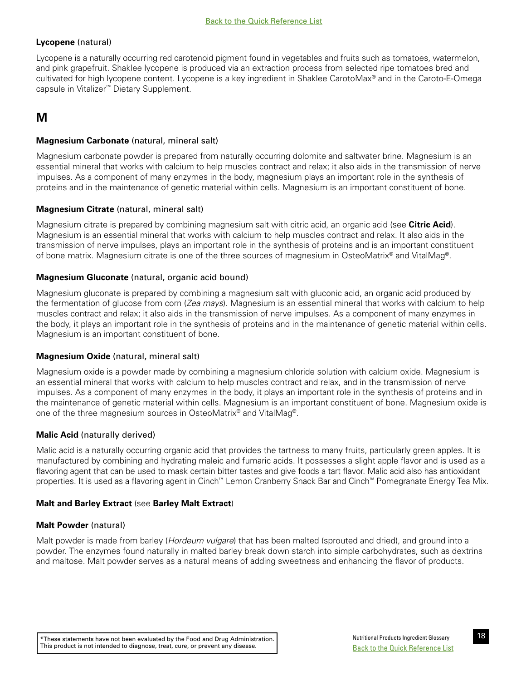# <span id="page-23-0"></span>**Lycopene** (natural)

Lycopene is a naturally occurring red carotenoid pigment found in vegetables and fruits such as tomatoes, watermelon, and pink grapefruit. Shaklee lycopene is produced via an extraction process from selected ripe tomatoes bred and cultivated for high lycopene content. Lycopene is a key ingredient in Shaklee CarotoMax® and in the Caroto-E-Omega capsule in Vitalizer™ Dietary Supplement.

# **M**

# **Magnesium Carbonate** (natural, mineral salt)

Magnesium carbonate powder is prepared from naturally occurring dolomite and saltwater brine. Magnesium is an essential mineral that works with calcium to help muscles contract and relax; it also aids in the transmission of nerve impulses. As a component of many enzymes in the body, magnesium plays an important role in the synthesis of proteins and in the maintenance of genetic material within cells. Magnesium is an important constituent of bone.

## **Magnesium Citrate** (natural, mineral salt)

Magnesium citrate is prepared by combining magnesium salt with citric acid, an organic acid (see **Citric Acid**). Magnesium is an essential mineral that works with calcium to help muscles contract and relax. It also aids in the transmission of nerve impulses, plays an important role in the synthesis of proteins and is an important constituent of bone matrix. Magnesium citrate is one of the three sources of magnesium in OsteoMatrix® and VitalMag®.

# **Magnesium Gluconate** (natural, organic acid bound)

Magnesium gluconate is prepared by combining a magnesium salt with gluconic acid, an organic acid produced by the fermentation of glucose from corn (*Zea mays*). Magnesium is an essential mineral that works with calcium to help muscles contract and relax; it also aids in the transmission of nerve impulses. As a component of many enzymes in the body, it plays an important role in the synthesis of proteins and in the maintenance of genetic material within cells. Magnesium is an important constituent of bone.

## **Magnesium Oxide** (natural, mineral salt)

Magnesium oxide is a powder made by combining a magnesium chloride solution with calcium oxide. Magnesium is an essential mineral that works with calcium to help muscles contract and relax, and in the transmission of nerve impulses. As a component of many enzymes in the body, it plays an important role in the synthesis of proteins and in the maintenance of genetic material within cells. Magnesium is an important constituent of bone. Magnesium oxide is one of the three magnesium sources in OsteoMatrix® and VitalMag®.

# **Malic Acid** (naturally derived)

Malic acid is a naturally occurring organic acid that provides the tartness to many fruits, particularly green apples. It is manufactured by combining and hydrating maleic and fumaric acids. It possesses a slight apple flavor and is used as a flavoring agent that can be used to mask certain bitter tastes and give foods a tart flavor. Malic acid also has antioxidant properties. It is used as a flavoring agent in Cinch™ Lemon Cranberry Snack Bar and Cinch™ Pomegranate Energy Tea Mix.

## **Malt and Barley Extract** (see **Barley Malt Extract**)

## **Malt Powder** (natural)

Malt powder is made from barley (*Hordeum vulgare*) that has been malted (sprouted and dried), and ground into a powder. The enzymes found naturally in malted barley break down starch into simple carbohydrates, such as dextrins and maltose. Malt powder serves as a natural means of adding sweetness and enhancing the flavor of products.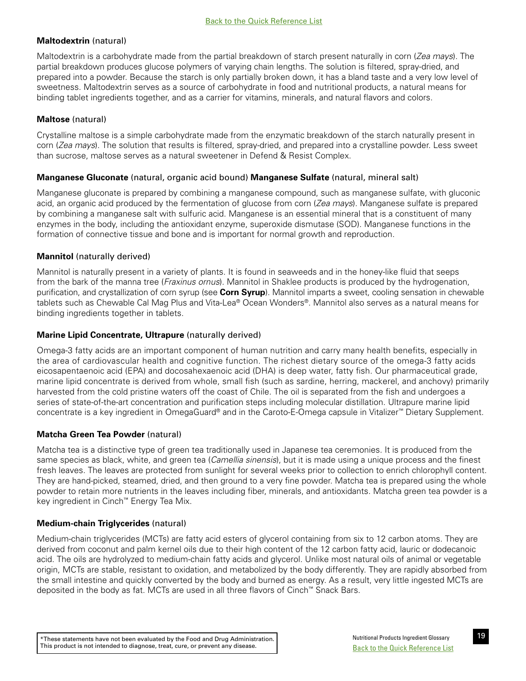# <span id="page-24-0"></span>**Maltodextrin** (natural)

Maltodextrin is a carbohydrate made from the partial breakdown of starch present naturally in corn (*Zea mays*). The partial breakdown produces glucose polymers of varying chain lengths. The solution is filtered, spray-dried, and prepared into a powder. Because the starch is only partially broken down, it has a bland taste and a very low level of sweetness. Maltodextrin serves as a source of carbohydrate in food and nutritional products, a natural means for binding tablet ingredients together, and as a carrier for vitamins, minerals, and natural flavors and colors.

# **Maltose** (natural)

Crystalline maltose is a simple carbohydrate made from the enzymatic breakdown of the starch naturally present in corn (*Zea mays*). The solution that results is filtered, spray-dried, and prepared into a crystalline powder. Less sweet than sucrose, maltose serves as a natural sweetener in Defend & Resist Complex.

# **Manganese Gluconate** (natural, organic acid bound) **Manganese Sulfate** (natural, mineral salt)

Manganese gluconate is prepared by combining a manganese compound, such as manganese sulfate, with gluconic acid, an organic acid produced by the fermentation of glucose from corn (*Zea mays*). Manganese sulfate is prepared by combining a manganese salt with sulfuric acid. Manganese is an essential mineral that is a constituent of many enzymes in the body, including the antioxidant enzyme, superoxide dismutase (SOD). Manganese functions in the formation of connective tissue and bone and is important for normal growth and reproduction.

# **Mannitol** (naturally derived)

Mannitol is naturally present in a variety of plants. It is found in seaweeds and in the honey-like fluid that seeps from the bark of the manna tree (*Fraxinus ornus*). Mannitol in Shaklee products is produced by the hydrogenation, purification, and crystallization of corn syrup (see **Corn Syrup**). Mannitol imparts a sweet, cooling sensation in chewable tablets such as Chewable Cal Mag Plus and Vita-Lea® Ocean Wonders®. Mannitol also serves as a natural means for binding ingredients together in tablets.

# **Marine Lipid Concentrate, Ultrapure** (naturally derived)

Omega-3 fatty acids are an important component of human nutrition and carry many health benefits, especially in the area of cardiovascular health and cognitive function. The richest dietary source of the omega-3 fatty acids eicosapentaenoic acid (EPA) and docosahexaenoic acid (DHA) is deep water, fatty fish. Our pharmaceutical grade, marine lipid concentrate is derived from whole, small fish (such as sardine, herring, mackerel, and anchovy) primarily harvested from the cold pristine waters off the coast of Chile. The oil is separated from the fish and undergoes a series of state-of-the-art concentration and purification steps including molecular distillation. Ultrapure marine lipid concentrate is a key ingredient in OmegaGuard® and in the Caroto-E-Omega capsule in Vitalizer™ Dietary Supplement.

# **Matcha Green Tea Powder** (natural)

Matcha tea is a distinctive type of green tea traditionally used in Japanese tea ceremonies. It is produced from the same species as black, white, and green tea (*Camellia sinensis*), but it is made using a unique process and the finest fresh leaves. The leaves are protected from sunlight for several weeks prior to collection to enrich chlorophyll content. They are hand-picked, steamed, dried, and then ground to a very fine powder. Matcha tea is prepared using the whole powder to retain more nutrients in the leaves including fiber, minerals, and antioxidants. Matcha green tea powder is a key ingredient in Cinch™ Energy Tea Mix.

# **Medium-chain Triglycerides** (natural)

Medium-chain triglycerides (MCTs) are fatty acid esters of glycerol containing from six to 12 carbon atoms. They are derived from coconut and palm kernel oils due to their high content of the 12 carbon fatty acid, lauric or dodecanoic acid. The oils are hydrolyzed to medium-chain fatty acids and glycerol. Unlike most natural oils of animal or vegetable origin, MCTs are stable, resistant to oxidation, and metabolized by the body differently. They are rapidly absorbed from the small intestine and quickly converted by the body and burned as energy. As a result, very little ingested MCTs are deposited in the body as fat. MCTs are used in all three flavors of Cinch™ Snack Bars.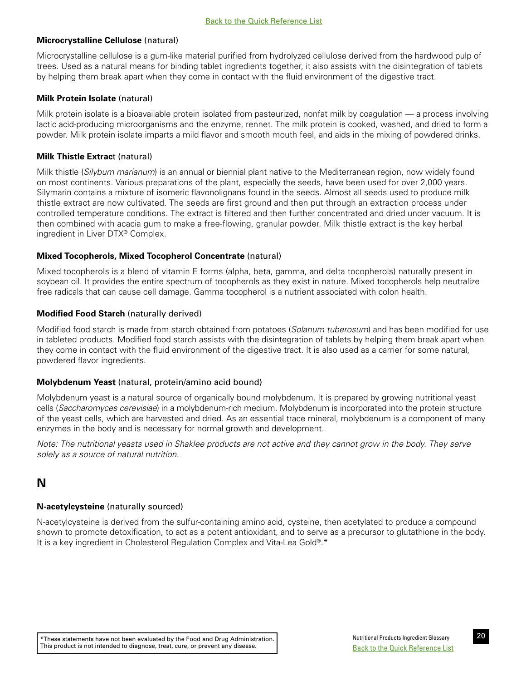# <span id="page-25-0"></span>**Microcrystalline Cellulose** (natural)

Microcrystalline cellulose is a gum-like material purified from hydrolyzed cellulose derived from the hardwood pulp of trees. Used as a natural means for binding tablet ingredients together, it also assists with the disintegration of tablets by helping them break apart when they come in contact with the fluid environment of the digestive tract.

## **Milk Protein Isolate** (natural)

Milk protein isolate is a bioavailable protein isolated from pasteurized, nonfat milk by coagulation — a process involving lactic acid-producing microorganisms and the enzyme, rennet. The milk protein is cooked, washed, and dried to form a powder. Milk protein isolate imparts a mild flavor and smooth mouth feel, and aids in the mixing of powdered drinks.

# **Milk Thistle Extrac**t (natural)

Milk thistle (*Silybum marianum*) is an annual or biennial plant native to the Mediterranean region, now widely found on most continents. Various preparations of the plant, especially the seeds, have been used for over 2,000 years. Silymarin contains a mixture of isomeric flavonolignans found in the seeds. Almost all seeds used to produce milk thistle extract are now cultivated. The seeds are first ground and then put through an extraction process under controlled temperature conditions. The extract is filtered and then further concentrated and dried under vacuum. It is then combined with acacia gum to make a free-flowing, granular powder. Milk thistle extract is the key herbal ingredient in Liver DTX® Complex.

# **Mixed Tocopherols, Mixed Tocopherol Concentrate** (natural)

Mixed tocopherols is a blend of vitamin E forms (alpha, beta, gamma, and delta tocopherols) naturally present in soybean oil. It provides the entire spectrum of tocopherols as they exist in nature. Mixed tocopherols help neutralize free radicals that can cause cell damage. Gamma tocopherol is a nutrient associated with colon health.

# **Modified Food Starch** (naturally derived)

Modified food starch is made from starch obtained from potatoes (*Solanum tuberosum*) and has been modified for use in tableted products. Modified food starch assists with the disintegration of tablets by helping them break apart when they come in contact with the fluid environment of the digestive tract. It is also used as a carrier for some natural, powdered flavor ingredients.

## **Molybdenum Yeast** (natural, protein/amino acid bound)

Molybdenum yeast is a natural source of organically bound molybdenum. It is prepared by growing nutritional yeast cells (*Saccharomyces cerevisiae*) in a molybdenum-rich medium. Molybdenum is incorporated into the protein structure of the yeast cells, which are harvested and dried. As an essential trace mineral, molybdenum is a component of many enzymes in the body and is necessary for normal growth and development.

*Note: The nutritional yeasts used in Shaklee products are not active and they cannot grow in the body. They serve solely as a source of natural nutrition.* 

# **N**

# **N-acetylcysteine** (naturally sourced)

N-acetylcysteine is derived from the sulfur-containing amino acid, cysteine, then acetylated to produce a compound shown to promote detoxification, to act as a potent antioxidant, and to serve as a precursor to glutathione in the body. It is a key ingredient in Cholesterol Regulation Complex and Vita-Lea Gold®.\*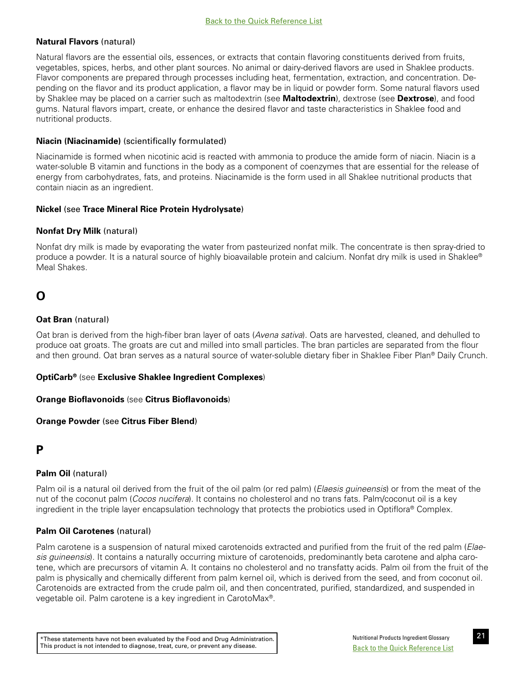# <span id="page-26-0"></span>**Natural Flavors** (natural)

Natural flavors are the essential oils, essences, or extracts that contain flavoring constituents derived from fruits, vegetables, spices, herbs, and other plant sources. No animal or dairy-derived flavors are used in Shaklee products. Flavor components are prepared through processes including heat, fermentation, extraction, and concentration. Depending on the flavor and its product application, a flavor may be in liquid or powder form. Some natural flavors used by Shaklee may be placed on a carrier such as maltodextrin (see **Maltodextrin**), dextrose (see **Dextrose**), and food gums. Natural flavors impart, create, or enhance the desired flavor and taste characteristics in Shaklee food and nutritional products.

## **Niacin (Niacinamide)** (scientifically formulated)

Niacinamide is formed when nicotinic acid is reacted with ammonia to produce the amide form of niacin. Niacin is a water-soluble B vitamin and functions in the body as a component of coenzymes that are essential for the release of energy from carbohydrates, fats, and proteins. Niacinamide is the form used in all Shaklee nutritional products that contain niacin as an ingredient.

## **Nickel** (see **Trace Mineral Rice Protein Hydrolysate**)

## **Nonfat Dry Milk** (natural)

Nonfat dry milk is made by evaporating the water from pasteurized nonfat milk. The concentrate is then spray-dried to produce a powder. It is a natural source of highly bioavailable protein and calcium. Nonfat dry milk is used in Shaklee® Meal Shakes.

# **O**

## **Oat Bran** (natural)

Oat bran is derived from the high-fiber bran layer of oats (*Avena sativa*). Oats are harvested, cleaned, and dehulled to produce oat groats. The groats are cut and milled into small particles. The bran particles are separated from the flour and then ground. Oat bran serves as a natural source of water-soluble dietary fiber in Shaklee Fiber Plan® Daily Crunch.

## **OptiCarb®** (see **Exclusive Shaklee Ingredient Complexes**)

## **Orange Bioflavonoids** (see **Citrus Bioflavonoids**)

## **Orange Powder** (see **Citrus Fiber Blend**)

# **P**

## **Palm Oil** (natural)

Palm oil is a natural oil derived from the fruit of the oil palm (or red palm) (*Elaesis guineensis*) or from the meat of the nut of the coconut palm (*Cocos nucifera*). It contains no cholesterol and no trans fats. Palm/coconut oil is a key ingredient in the triple layer encapsulation technology that protects the probiotics used in Optiflora® Complex.

## **Palm Oil Carotenes** (natural)

Palm carotene is a suspension of natural mixed carotenoids extracted and purified from the fruit of the red palm (*Elaesis guineensis*). It contains a naturally occurring mixture of carotenoids, predominantly beta carotene and alpha carotene, which are precursors of vitamin A. It contains no cholesterol and no transfatty acids. Palm oil from the fruit of the palm is physically and chemically different from palm kernel oil, which is derived from the seed, and from coconut oil. Carotenoids are extracted from the crude palm oil, and then concentrated, purified, standardized, and suspended in vegetable oil. Palm carotene is a key ingredient in CarotoMax®.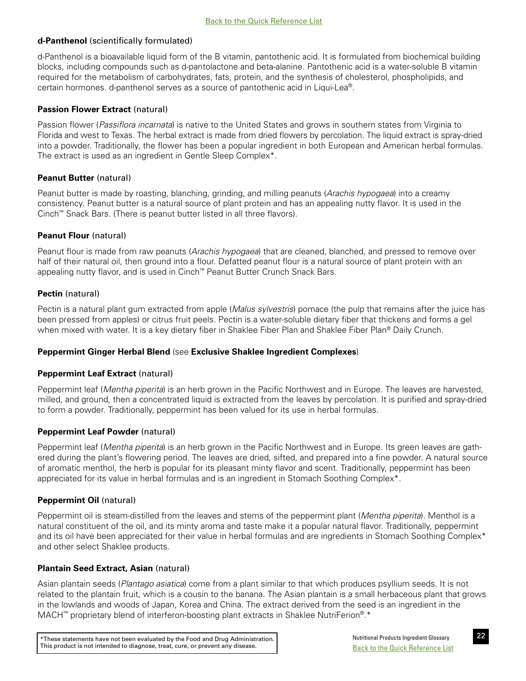# <span id="page-27-0"></span>**d-Panthenol** (scientifically formulated)

d-Panthenol is a bioavailable liquid form of the B vitamin, pantothenic acid. It is formulated from biochemical building blocks, including compounds such as d-pantolactone and beta-alanine. Pantothenic acid is a water-soluble B vitamin required for the metabolism of carbohydrates, fats, protein, and the synthesis of cholesterol, phospholipids, and certain hormones. d-panthenol serves as a source of pantothenic acid in Liqui-Lea®.

# **Passion Flower Extract** (natural)

Passion flower (*Passiflora incarnata*) is native to the United States and grows in southern states from Virginia to Florida and west to Texas. The herbal extract is made from dried flowers by percolation. The liquid extract is spray-dried into a powder. Traditionally, the flower has been a popular ingredient in both European and American herbal formulas. The extract is used as an ingredient in Gentle Sleep Complex\*.

## **Peanut Butter (natural)**

Peanut butter is made by roasting, blanching, grinding, and milling peanuts (*Arachis hypogaea*) into a creamy consistency. Peanut butter is a natural source of plant protein and has an appealing nutty flavor. It is used in the Cinch™ Snack Bars. (There is peanut butter listed in all three flavors).

# **Peanut Flour** (natural)

Peanut flour is made from raw peanuts (*Arachis hypogaea*) that are cleaned, blanched, and pressed to remove over half of their natural oil, then ground into a flour. Defatted peanut flour is a natural source of plant protein with an appealing nutty flavor, and is used in Cinch™ Peanut Butter Crunch Snack Bars.

# **Pectin** (natural)

Pectin is a natural plant gum extracted from apple (*Malus sylvestris*) pomace (the pulp that remains after the juice has been pressed from apples) or citrus fruit peels. Pectin is a water-soluble dietary fiber that thickens and forms a gel when mixed with water. It is a key dietary fiber in Shaklee Fiber Plan and Shaklee Fiber Plan® Daily Crunch.

## **Peppermint Ginger Herbal Blend** (see **Exclusive Shaklee Ingredient Complexes**)

## **Peppermint Leaf Extract (natural)**

Peppermint leaf (*Mentha piperita*) is an herb grown in the Pacific Northwest and in Europe. The leaves are harvested, milled, and ground, then a concentrated liquid is extracted from the leaves by percolation. It is purified and spray-dried to form a powder. Traditionally, peppermint has been valued for its use in herbal formulas.

## **Peppermint Leaf Powder** (natural)

Peppermint leaf (*Mentha piperita*) is an herb grown in the Pacific Northwest and in Europe. Its green leaves are gathered during the plant's flowering period. The leaves are dried, sifted, and prepared into a fine powder. A natural source of aromatic menthol, the herb is popular for its pleasant minty flavor and scent. Traditionally, peppermint has been appreciated for its value in herbal formulas and is an ingredient in Stomach Soothing Complex\*.

## **Peppermint Oil (natural)**

Peppermint oil is steam-distilled from the leaves and stems of the peppermint plant (*Mentha piperita*). Menthol is a natural constituent of the oil, and its minty aroma and taste make it a popular natural flavor. Traditionally, peppermint and its oil have been appreciated for their value in herbal formulas and are ingredients in Stomach Soothing Complex<sup>\*</sup> and other select Shaklee products.

## **Plantain Seed Extract, Asian** (natural)

Asian plantain seeds (*Plantago asiatica*) come from a plant similar to that which produces psyllium seeds. It is not related to the plantain fruit, which is a cousin to the banana. The Asian plantain is a small herbaceous plant that grows in the lowlands and woods of Japan, Korea and China. The extract derived from the seed is an ingredient in the MACH™ proprietary blend of interferon-boosting plant extracts in Shaklee NutriFerion<sup>®</sup>.\*

\*These statements have not been evaluated by the Food and Drug Administration. Nutritional Products Ingredient Glossary This product is not intended to diagnose, treat, cure, or prevent any disease.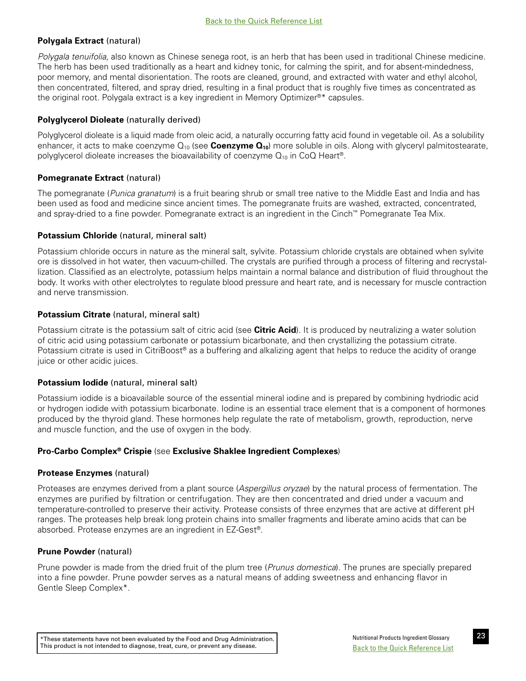# <span id="page-28-0"></span>**Polygala Extract** (natural)

*Polygala tenuifolia*, also known as Chinese senega root, is an herb that has been used in traditional Chinese medicine. The herb has been used traditionally as a heart and kidney tonic, for calming the spirit, and for absent-mindedness, poor memory, and mental disorientation. The roots are cleaned, ground, and extracted with water and ethyl alcohol, then concentrated, filtered, and spray dried, resulting in a final product that is roughly five times as concentrated as the original root. Polygala extract is a key ingredient in Memory Optimizer®\* capsules.

# **Polyglycerol Dioleate** (naturally derived)

Polyglycerol dioleate is a liquid made from oleic acid, a naturally occurring fatty acid found in vegetable oil. As a solubility enhancer, it acts to make coenzyme Q<sub>10</sub> (see **Coenzyme Q<sub>10</sub>**) more soluble in oils. Along with glyceryl palmitostearate, polyglycerol dioleate increases the bioavailability of coenzyme  $Q_{10}$  in CoQ Heart®.

# **Pomegranate Extract (natural)**

The pomegranate (*Punica granatum*) is a fruit bearing shrub or small tree native to the Middle East and India and has been used as food and medicine since ancient times. The pomegranate fruits are washed, extracted, concentrated, and spray-dried to a fine powder. Pomegranate extract is an ingredient in the Cinch™ Pomegranate Tea Mix.

# **Potassium Chloride** (natural, mineral salt)

Potassium chloride occurs in nature as the mineral salt, sylvite. Potassium chloride crystals are obtained when sylvite ore is dissolved in hot water, then vacuum-chilled. The crystals are purified through a process of filtering and recrystallization. Classified as an electrolyte, potassium helps maintain a normal balance and distribution of fluid throughout the body. It works with other electrolytes to regulate blood pressure and heart rate, and is necessary for muscle contraction and nerve transmission.

# **Potassium Citrate** (natural, mineral salt)

Potassium citrate is the potassium salt of citric acid (see **Citric Acid**). It is produced by neutralizing a water solution of citric acid using potassium carbonate or potassium bicarbonate, and then crystallizing the potassium citrate. Potassium citrate is used in CitriBoost® as a buffering and alkalizing agent that helps to reduce the acidity of orange juice or other acidic juices.

## **Potassium Iodide** (natural, mineral salt)

Potassium iodide is a bioavailable source of the essential mineral iodine and is prepared by combining hydriodic acid or hydrogen iodide with potassium bicarbonate. Iodine is an essential trace element that is a component of hormones produced by the thyroid gland. These hormones help regulate the rate of metabolism, growth, reproduction, nerve and muscle function, and the use of oxygen in the body.

# **Pro-Carbo Complex® Crispie** (see **Exclusive Shaklee Ingredient Complexes**)

## **Protease Enzymes** (natural)

Proteases are enzymes derived from a plant source (*Aspergillus oryzae*) by the natural process of fermentation. The enzymes are purified by filtration or centrifugation. They are then concentrated and dried under a vacuum and temperature-controlled to preserve their activity. Protease consists of three enzymes that are active at different pH ranges. The proteases help break long protein chains into smaller fragments and liberate amino acids that can be absorbed. Protease enzymes are an ingredient in EZ-Gest®.

## **Prune Powder** (natural)

Prune powder is made from the dried fruit of the plum tree (*Prunus domestica*). The prunes are specially prepared into a fine powder. Prune powder serves as a natural means of adding sweetness and enhancing flavor in Gentle Sleep Complex\*.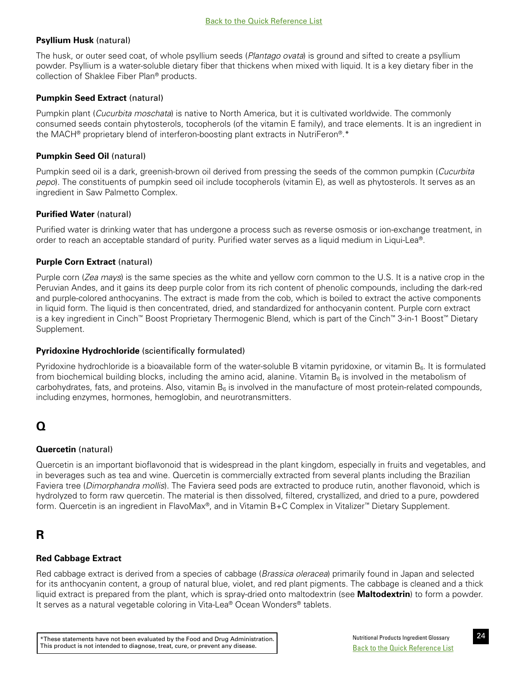# <span id="page-29-0"></span>**Psyllium Husk** (natural)

The husk, or outer seed coat, of whole psyllium seeds (*Plantago ovata*) is ground and sifted to create a psyllium powder. Psyllium is a water-soluble dietary fiber that thickens when mixed with liquid. It is a key dietary fiber in the collection of Shaklee Fiber Plan® products.

# **Pumpkin Seed Extract** (natural)

Pumpkin plant (*Cucurbita moschata*) is native to North America, but it is cultivated worldwide. The commonly consumed seeds contain phytosterols, tocopherols (of the vitamin E family), and trace elements. It is an ingredient in the MACH® proprietary blend of interferon-boosting plant extracts in NutriFeron®.\*

# **Pumpkin Seed Oil** (natural)

Pumpkin seed oil is a dark, greenish-brown oil derived from pressing the seeds of the common pumpkin (*Cucurbita pepo*). The constituents of pumpkin seed oil include tocopherols (vitamin E), as well as phytosterols. It serves as an ingredient in Saw Palmetto Complex.

# **Purified Water** (natural)

Purified water is drinking water that has undergone a process such as reverse osmosis or ion-exchange treatment, in order to reach an acceptable standard of purity. Purified water serves as a liquid medium in Liqui-Lea®.

# **Purple Corn Extract** (natural)

Purple corn (*Zea mays*) is the same species as the white and yellow corn common to the U.S. It is a native crop in the Peruvian Andes, and it gains its deep purple color from its rich content of phenolic compounds, including the dark-red and purple-colored anthocyanins. The extract is made from the cob, which is boiled to extract the active components in liquid form. The liquid is then concentrated, dried, and standardized for anthocyanin content. Purple corn extract is a key ingredient in Cinch™ Boost Proprietary Thermogenic Blend, which is part of the Cinch™ 3-in-1 Boost™ Dietary Supplement.

# **Pyridoxine Hydrochloride** (scientifically formulated)

Pyridoxine hydrochloride is a bioavailable form of the water-soluble B vitamin pyridoxine, or vitamin  $B_6$ . It is formulated from biochemical building blocks, including the amino acid, alanine. Vitamin  $B_6$  is involved in the metabolism of carbohydrates, fats, and proteins. Also, vitamin  $B_6$  is involved in the manufacture of most protein-related compounds, including enzymes, hormones, hemoglobin, and neurotransmitters.

# **Q**

# **Quercetin** (natural)

Quercetin is an important bioflavonoid that is widespread in the plant kingdom, especially in fruits and vegetables, and in beverages such as tea and wine. Quercetin is commercially extracted from several plants including the Brazilian Faviera tree (*Dimorphandra mollis*). The Faviera seed pods are extracted to produce rutin, another flavonoid, which is hydrolyzed to form raw quercetin. The material is then dissolved, filtered, crystallized, and dried to a pure, powdered form. Quercetin is an ingredient in FlavoMax®, and in Vitamin B+C Complex in Vitalizer™ Dietary Supplement.

# **R**

# **Red Cabbage Extract**

Red cabbage extract is derived from a species of cabbage (*Brassica oleracea*) primarily found in Japan and selected for its anthocyanin content, a group of natural blue, violet, and red plant pigments. The cabbage is cleaned and a thick liquid extract is prepared from the plant, which is spray-dried onto maltodextrin (see **Maltodextrin**) to form a powder. It serves as a natural vegetable coloring in Vita-Lea® Ocean Wonders® tablets.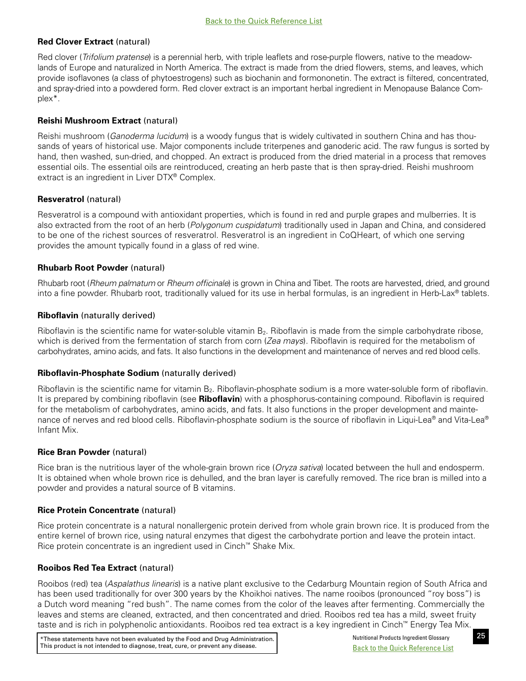# <span id="page-30-0"></span>**Red Clover Extract** (natural)

Red clover (*Trifolium pratense*) is a perennial herb, with triple leaflets and rose-purple flowers, native to the meadowlands of Europe and naturalized in North America. The extract is made from the dried flowers, stems, and leaves, which provide isoflavones (a class of phytoestrogens) such as biochanin and formononetin. The extract is filtered, concentrated, and spray-dried into a powdered form. Red clover extract is an important herbal ingredient in Menopause Balance Complex\*.

# **Reishi Mushroom Extract** (natural)

Reishi mushroom (*Ganoderma lucidum*) is a woody fungus that is widely cultivated in southern China and has thousands of years of historical use. Major components include triterpenes and ganoderic acid. The raw fungus is sorted by hand, then washed, sun-dried, and chopped. An extract is produced from the dried material in a process that removes essential oils. The essential oils are reintroduced, creating an herb paste that is then spray-dried. Reishi mushroom extract is an ingredient in Liver DTX® Complex.

# **Resveratrol** (natural)

Resveratrol is a compound with antioxidant properties, which is found in red and purple grapes and mulberries. It is also extracted from the root of an herb (*Polygonum cuspidatum*) traditionally used in Japan and China, and considered to be one of the richest sources of resveratrol. Resveratrol is an ingredient in CoQHeart, of which one serving provides the amount typically found in a glass of red wine.

# **Rhubarb Root Powder** (natural)

Rhubarb root (*Rheum palmatum* or *Rheum officinale*) is grown in China and Tibet. The roots are harvested, dried, and ground into a fine powder. Rhubarb root, traditionally valued for its use in herbal formulas, is an ingredient in Herb-Lax® tablets.

# **Riboflavin** (naturally derived)

Riboflavin is the scientific name for water-soluble vitamin  $B_2$ . Riboflavin is made from the simple carbohydrate ribose, which is derived from the fermentation of starch from corn (*Zea mays*). Riboflavin is required for the metabolism of carbohydrates, amino acids, and fats. It also functions in the development and maintenance of nerves and red blood cells.

## **Riboflavin-Phosphate Sodium** (naturally derived)

Riboflavin is the scientific name for vitamin  $B_2$ . Riboflavin-phosphate sodium is a more water-soluble form of riboflavin. It is prepared by combining riboflavin (see **Riboflavin**) with a phosphorus-containing compound. Riboflavin is required for the metabolism of carbohydrates, amino acids, and fats. It also functions in the proper development and maintenance of nerves and red blood cells. Riboflavin-phosphate sodium is the source of riboflavin in Liqui-Lea® and Vita-Lea® Infant Mix.

## **Rice Bran Powder** (natural)

Rice bran is the nutritious layer of the whole-grain brown rice (*Oryza sativa*) located between the hull and endosperm. It is obtained when whole brown rice is dehulled, and the bran layer is carefully removed. The rice bran is milled into a powder and provides a natural source of B vitamins.

## **Rice Protein Concentrate** (natural)

Rice protein concentrate is a natural nonallergenic protein derived from whole grain brown rice. It is produced from the entire kernel of brown rice, using natural enzymes that digest the carbohydrate portion and leave the protein intact. Rice protein concentrate is an ingredient used in Cinch™ Shake Mix.

# **Rooibos Red Tea Extract** (natural)

Rooibos (red) tea (*Aspalathus linearis*) is a native plant exclusive to the Cedarburg Mountain region of South Africa and has been used traditionally for over 300 years by the Khoikhoi natives. The name rooibos (pronounced "roy boss") is a Dutch word meaning "red bush". The name comes from the color of the leaves after fermenting. Commercially the leaves and stems are cleaned, extracted, and then concentrated and dried. Rooibos red tea has a mild, sweet fruity taste and is rich in polyphenolic antioxidants. Rooibos red tea extract is a key ingredient in Cinch™ Energy Tea Mix.

\*These statements have not been evaluated by the Food and Drug Administration. Nutritional Products Ingredient Glossary This product is not intended to diagnose, treat, cure, or prevent any disease.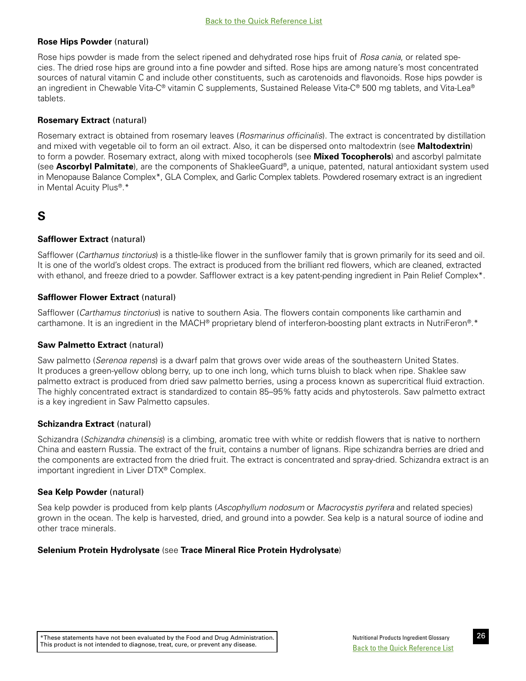## <span id="page-31-0"></span>**Rose Hips Powder** (natural)

Rose hips powder is made from the select ripened and dehydrated rose hips fruit of *Rosa cania*, or related species. The dried rose hips are ground into a fine powder and sifted. Rose hips are among nature's most concentrated sources of natural vitamin C and include other constituents, such as carotenoids and flavonoids. Rose hips powder is an ingredient in Chewable Vita-C® vitamin C supplements, Sustained Release Vita-C® 500 mg tablets, and Vita-Lea® tablets.

# **Rosemary Extract** (natural)

Rosemary extract is obtained from rosemary leaves (*Rosmarinus officinalis*). The extract is concentrated by distillation and mixed with vegetable oil to form an oil extract. Also, it can be dispersed onto maltodextrin (see **Maltodextrin**) to form a powder. Rosemary extract, along with mixed tocopherols (see **Mixed Tocopherols**) and ascorbyl palmitate (see **Ascorbyl Palmitate**), are the components of ShakleeGuard®, a unique, patented, natural antioxidant system used in Menopause Balance Complex\*, GLA Complex, and Garlic Complex tablets. Powdered rosemary extract is an ingredient in Mental Acuity Plus®.\*

# **S**

# **Safflower Extract** (natural)

Safflower (*Carthamus tinctorius*) is a thistle-like flower in the sunflower family that is grown primarily for its seed and oil. It is one of the world's oldest crops. The extract is produced from the brilliant red flowers, which are cleaned, extracted with ethanol, and freeze dried to a powder. Safflower extract is a key patent-pending ingredient in Pain Relief Complex\*.

# **Safflower Flower Extract** (natural)

Safflower (*Carthamus tinctorius*) is native to southern Asia. The flowers contain components like carthamin and carthamone. It is an ingredient in the MACH® proprietary blend of interferon-boosting plant extracts in NutriFeron®.\*

## **Saw Palmetto Extract** (natural)

Saw palmetto (*Serenoa repens*) is a dwarf palm that grows over wide areas of the southeastern United States. It produces a green-yellow oblong berry, up to one inch long, which turns bluish to black when ripe. Shaklee saw palmetto extract is produced from dried saw palmetto berries, using a process known as supercritical fluid extraction. The highly concentrated extract is standardized to contain 85–95% fatty acids and phytosterols. Saw palmetto extract is a key ingredient in Saw Palmetto capsules.

## **Schizandra Extract** (natural)

Schizandra (*Schizandra chinensis*) is a climbing, aromatic tree with white or reddish flowers that is native to northern China and eastern Russia. The extract of the fruit, contains a number of lignans. Ripe schizandra berries are dried and the components are extracted from the dried fruit. The extract is concentrated and spray-dried. Schizandra extract is an important ingredient in Liver DTX® Complex.

## **Sea Kelp Powder** (natural)

Sea kelp powder is produced from kelp plants (*Ascophyllum nodosum* or *Macrocystis pyrifera* and related species) grown in the ocean. The kelp is harvested, dried, and ground into a powder. Sea kelp is a natural source of iodine and other trace minerals.

## **Selenium Protein Hydrolysate** (see **Trace Mineral Rice Protein Hydrolysate**)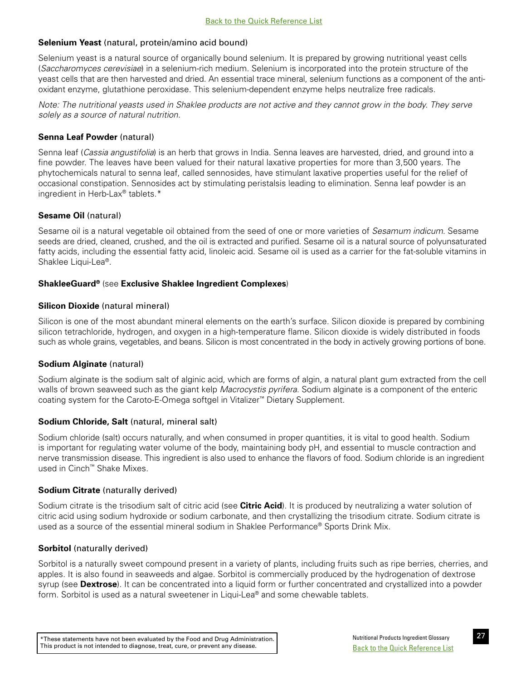# <span id="page-32-0"></span>**Selenium Yeast** (natural, protein/amino acid bound)

Selenium yeast is a natural source of organically bound selenium. It is prepared by growing nutritional yeast cells (*Saccharomyces cerevisiae*) in a selenium-rich medium. Selenium is incorporated into the protein structure of the yeast cells that are then harvested and dried. An essential trace mineral, selenium functions as a component of the antioxidant enzyme, glutathione peroxidase. This selenium-dependent enzyme helps neutralize free radicals.

*Note: The nutritional yeasts used in Shaklee products are not active and they cannot grow in the body. They serve solely as a source of natural nutrition.* 

# **Senna Leaf Powder** (natural)

Senna leaf (*Cassia angustifolia*) is an herb that grows in India. Senna leaves are harvested, dried, and ground into a fine powder. The leaves have been valued for their natural laxative properties for more than 3,500 years. The phytochemicals natural to senna leaf, called sennosides, have stimulant laxative properties useful for the relief of occasional constipation. Sennosides act by stimulating peristalsis leading to elimination. Senna leaf powder is an ingredient in Herb-Lax® tablets.\*

# **Sesame Oil** (natural)

Sesame oil is a natural vegetable oil obtained from the seed of one or more varieties of *Sesamum indicum*. Sesame seeds are dried, cleaned, crushed, and the oil is extracted and purified. Sesame oil is a natural source of polyunsaturated fatty acids, including the essential fatty acid, linoleic acid. Sesame oil is used as a carrier for the fat-soluble vitamins in Shaklee Liqui-Lea®.

# **ShakleeGuard®** (see **Exclusive Shaklee Ingredient Complexes**)

# **Silicon Dioxide** (natural mineral)

Silicon is one of the most abundant mineral elements on the earth's surface. Silicon dioxide is prepared by combining silicon tetrachloride, hydrogen, and oxygen in a high-temperature flame. Silicon dioxide is widely distributed in foods such as whole grains, vegetables, and beans. Silicon is most concentrated in the body in actively growing portions of bone.

# **Sodium Alginate** (natural)

Sodium alginate is the sodium salt of alginic acid, which are forms of algin, a natural plant gum extracted from the cell walls of brown seaweed such as the giant kelp *Macrocystis pyrifera*. Sodium alginate is a component of the enteric coating system for the Caroto-E-Omega softgel in Vitalizer™ Dietary Supplement.

# **Sodium Chloride, Salt** (natural, mineral salt)

Sodium chloride (salt) occurs naturally, and when consumed in proper quantities, it is vital to good health. Sodium is important for regulating water volume of the body, maintaining body pH, and essential to muscle contraction and nerve transmission disease. This ingredient is also used to enhance the flavors of food. Sodium chloride is an ingredient used in Cinch™ Shake Mixes.

# **Sodium Citrate** (naturally derived)

Sodium citrate is the trisodium salt of citric acid (see **Citric Acid**). It is produced by neutralizing a water solution of citric acid using sodium hydroxide or sodium carbonate, and then crystallizing the trisodium citrate. Sodium citrate is used as a source of the essential mineral sodium in Shaklee Performance® Sports Drink Mix.

# **Sorbitol** (naturally derived)

Sorbitol is a naturally sweet compound present in a variety of plants, including fruits such as ripe berries, cherries, and apples. It is also found in seaweeds and algae. Sorbitol is commercially produced by the hydrogenation of dextrose syrup (see **Dextrose**). It can be concentrated into a liquid form or further concentrated and crystallized into a powder form. Sorbitol is used as a natural sweetener in Liqui-Lea® and some chewable tablets.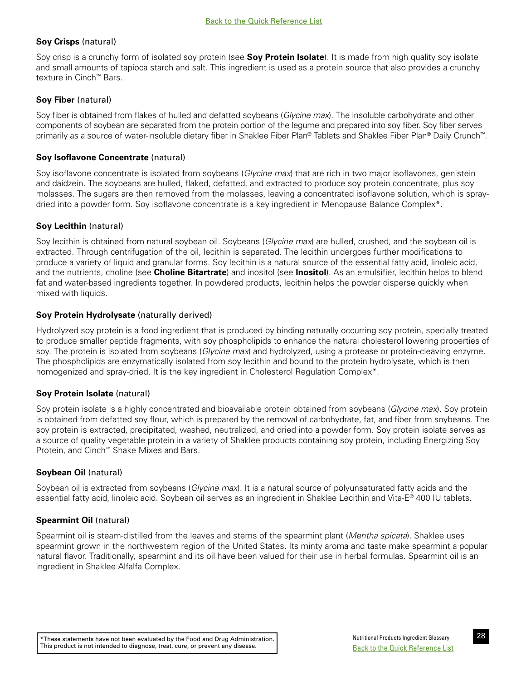# <span id="page-33-0"></span>**Soy Crisps** (natural)

Soy crisp is a crunchy form of isolated soy protein (see **Soy Protein Isolate**). It is made from high quality soy isolate and small amounts of tapioca starch and salt. This ingredient is used as a protein source that also provides a crunchy texture in Cinch™ Bars.

# **Soy Fiber** (natural)

Soy fiber is obtained from flakes of hulled and defatted soybeans (*Glycine max*). The insoluble carbohydrate and other components of soybean are separated from the protein portion of the legume and prepared into soy fiber. Soy fiber serves primarily as a source of water-insoluble dietary fiber in Shaklee Fiber Plan® Tablets and Shaklee Fiber Plan® Daily Crunch™.

# **Soy Isoflavone Concentrate** (natural)

Soy isoflavone concentrate is isolated from soybeans (*Glycine max*) that are rich in two major isoflavones, genistein and daidzein. The soybeans are hulled, flaked, defatted, and extracted to produce soy protein concentrate, plus soy molasses. The sugars are then removed from the molasses, leaving a concentrated isoflavone solution, which is spraydried into a powder form. Soy isoflavone concentrate is a key ingredient in Menopause Balance Complex\*.

# **Soy Lecithin** (natural)

Soy lecithin is obtained from natural soybean oil. Soybeans (*Glycine max*) are hulled, crushed, and the soybean oil is extracted. Through centrifugation of the oil, lecithin is separated. The lecithin undergoes further modifications to produce a variety of liquid and granular forms. Soy lecithin is a natural source of the essential fatty acid, linoleic acid, and the nutrients, choline (see **Choline Bitartrate**) and inositol (see **Inositol**). As an emulsifier, lecithin helps to blend fat and water-based ingredients together. In powdered products, lecithin helps the powder disperse quickly when mixed with liquids.

# **Soy Protein Hydrolysate** (naturally derived)

Hydrolyzed soy protein is a food ingredient that is produced by binding naturally occurring soy protein, specially treated to produce smaller peptide fragments, with soy phospholipids to enhance the natural cholesterol lowering properties of soy. The protein is isolated from soybeans (*Glycine max*) and hydrolyzed, using a protease or protein-cleaving enzyme. The phospholipids are enzymatically isolated from soy lecithin and bound to the protein hydrolysate, which is then homogenized and spray-dried. It is the key ingredient in Cholesterol Regulation Complex\*.

## **Soy Protein Isolate** (natural)

Soy protein isolate is a highly concentrated and bioavailable protein obtained from soybeans (*Glycine max*). Soy protein is obtained from defatted soy flour, which is prepared by the removal of carbohydrate, fat, and fiber from soybeans. The soy protein is extracted, precipitated, washed, neutralized, and dried into a powder form. Soy protein isolate serves as a source of quality vegetable protein in a variety of Shaklee products containing soy protein, including Energizing Soy Protein, and Cinch™ Shake Mixes and Bars.

# **Soybean Oil** (natural)

Soybean oil is extracted from soybeans (*Glycine max*). It is a natural source of polyunsaturated fatty acids and the essential fatty acid, linoleic acid. Soybean oil serves as an ingredient in Shaklee Lecithin and Vita-E® 400 IU tablets.

# **Spearmint Oil** (natural)

Spearmint oil is steam-distilled from the leaves and stems of the spearmint plant (*Mentha spicata*). Shaklee uses spearmint grown in the northwestern region of the United States. Its minty aroma and taste make spearmint a popular natural flavor. Traditionally, spearmint and its oil have been valued for their use in herbal formulas. Spearmint oil is an ingredient in Shaklee Alfalfa Complex.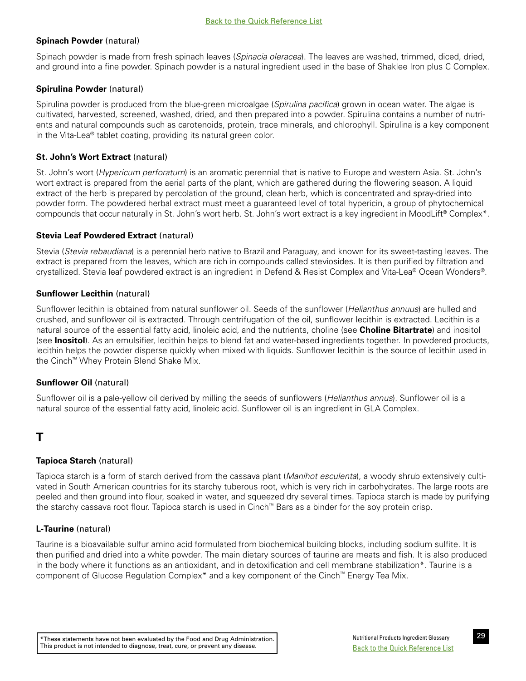# <span id="page-34-0"></span>**Spinach Powder** (natural)

Spinach powder is made from fresh spinach leaves (*Spinacia oleracea*). The leaves are washed, trimmed, diced, dried, and ground into a fine powder. Spinach powder is a natural ingredient used in the base of Shaklee Iron plus C Complex.

# **Spirulina Powder** (natural)

Spirulina powder is produced from the blue-green microalgae (*Spirulina pacifica*) grown in ocean water. The algae is cultivated, harvested, screened, washed, dried, and then prepared into a powder. Spirulina contains a number of nutrients and natural compounds such as carotenoids, protein, trace minerals, and chlorophyll. Spirulina is a key component in the Vita-Lea® tablet coating, providing its natural green color.

# **St. John's Wort Extract (natural)**

St. John's wort (*Hypericum perforatum*) is an aromatic perennial that is native to Europe and western Asia. St. John's wort extract is prepared from the aerial parts of the plant, which are gathered during the flowering season. A liquid extract of the herb is prepared by percolation of the ground, clean herb, which is concentrated and spray-dried into powder form. The powdered herbal extract must meet a guaranteed level of total hypericin, a group of phytochemical compounds that occur naturally in St. John's wort herb. St. John's wort extract is a key ingredient in MoodLift® Complex\*.

# **Stevia Leaf Powdered Extract** (natural)

Stevia (*Stevia rebaudiana*) is a perennial herb native to Brazil and Paraguay, and known for its sweet-tasting leaves. The extract is prepared from the leaves, which are rich in compounds called steviosides. It is then purified by filtration and crystallized. Stevia leaf powdered extract is an ingredient in Defend & Resist Complex and Vita-Lea® Ocean Wonders®.

# **Sunflower Lecithin** (natural)

Sunflower lecithin is obtained from natural sunflower oil. Seeds of the sunflower (*Helianthus annuus*) are hulled and crushed, and sunflower oil is extracted. Through centrifugation of the oil, sunflower lecithin is extracted. Lecithin is a natural source of the essential fatty acid, linoleic acid, and the nutrients, choline (see **Choline Bitartrate**) and inositol (see **Inositol**). As an emulsifier, lecithin helps to blend fat and water-based ingredients together. In powdered products, lecithin helps the powder disperse quickly when mixed with liquids. Sunflower lecithin is the source of lecithin used in the Cinch™ Whey Protein Blend Shake Mix.

# **Sunflower Oil** (natural)

Sunflower oil is a pale-yellow oil derived by milling the seeds of sunflowers (*Helianthus annus*). Sunflower oil is a natural source of the essential fatty acid, linoleic acid. Sunflower oil is an ingredient in GLA Complex.

# **T**

## **Tapioca Starch** (natural)

Tapioca starch is a form of starch derived from the cassava plant (*Manihot esculenta*), a woody shrub extensively cultivated in South American countries for its starchy tuberous root, which is very rich in carbohydrates. The large roots are peeled and then ground into flour, soaked in water, and squeezed dry several times. Tapioca starch is made by purifying the starchy cassava root flour. Tapioca starch is used in Cinch™ Bars as a binder for the soy protein crisp.

# **L-Taurine** (natural)

Taurine is a bioavailable sulfur amino acid formulated from biochemical building blocks, including sodium sulfite. It is then purified and dried into a white powder. The main dietary sources of taurine are meats and fish. It is also produced in the body where it functions as an antioxidant, and in detoxification and cell membrane stabilization\*. Taurine is a component of Glucose Regulation Complex\* and a key component of the Cinch™ Energy Tea Mix.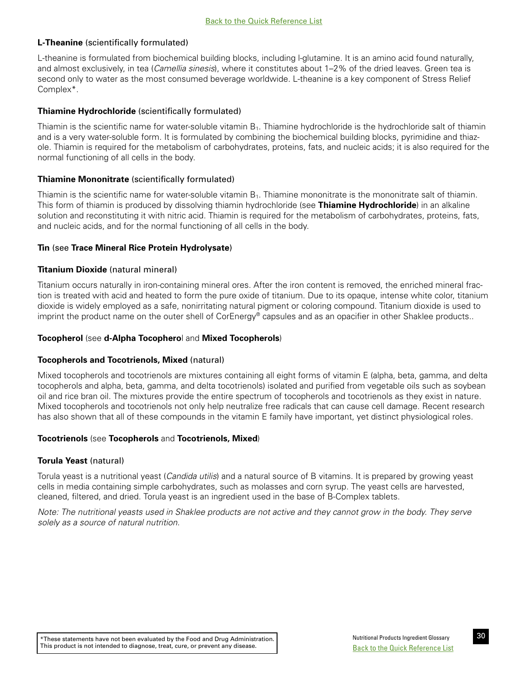# <span id="page-35-0"></span>**L-Theanine** (scientifically formulated)

L-theanine is formulated from biochemical building blocks, including l-glutamine. It is an amino acid found naturally, and almost exclusively, in tea (*Camellia sinesis*), where it constitutes about 1–2% of the dried leaves. Green tea is second only to water as the most consumed beverage worldwide. L-theanine is a key component of Stress Relief Complex\*.

# **Thiamine Hydrochloride** (scientifically formulated)

Thiamin is the scientific name for water-soluble vitamin  $B_1$ . Thiamine hydrochloride is the hydrochloride salt of thiamin and is a very water-soluble form. It is formulated by combining the biochemical building blocks, pyrimidine and thiazole. Thiamin is required for the metabolism of carbohydrates, proteins, fats, and nucleic acids; it is also required for the normal functioning of all cells in the body.

# **Thiamine Mononitrate** (scientifically formulated)

Thiamin is the scientific name for water-soluble vitamin  $B_1$ . Thiamine mononitrate is the mononitrate salt of thiamin. This form of thiamin is produced by dissolving thiamin hydrochloride (see **Thiamine Hydrochloride**) in an alkaline solution and reconstituting it with nitric acid. Thiamin is required for the metabolism of carbohydrates, proteins, fats, and nucleic acids, and for the normal functioning of all cells in the body.

# **Tin** (see **Trace Mineral Rice Protein Hydrolysate**)

# **Titanium Dioxide** (natural mineral)

Titanium occurs naturally in iron-containing mineral ores. After the iron content is removed, the enriched mineral fraction is treated with acid and heated to form the pure oxide of titanium. Due to its opaque, intense white color, titanium dioxide is widely employed as a safe, nonirritating natural pigment or coloring compound. Titanium dioxide is used to imprint the product name on the outer shell of CorEnergy® capsules and as an opacifier in other Shaklee products..

# **Tocopherol** (see **d-Alpha Tocophero**l and **Mixed Tocopherols**)

# **Tocopherols and Tocotrienols, Mixed** (natural)

Mixed tocopherols and tocotrienols are mixtures containing all eight forms of vitamin E (alpha, beta, gamma, and delta tocopherols and alpha, beta, gamma, and delta tocotrienols) isolated and purified from vegetable oils such as soybean oil and rice bran oil. The mixtures provide the entire spectrum of tocopherols and tocotrienols as they exist in nature. Mixed tocopherols and tocotrienols not only help neutralize free radicals that can cause cell damage. Recent research has also shown that all of these compounds in the vitamin E family have important, yet distinct physiological roles.

# **Tocotrienols** (see **Tocopherols** and **Tocotrienols, Mixed**)

# **Torula Yeast** (natural)

Torula yeast is a nutritional yeast (*Candida utilis*) and a natural source of B vitamins. It is prepared by growing yeast cells in media containing simple carbohydrates, such as molasses and corn syrup. The yeast cells are harvested, cleaned, filtered, and dried. Torula yeast is an ingredient used in the base of B-Complex tablets.

*Note: The nutritional yeasts used in Shaklee products are not active and they cannot grow in the body. They serve solely as a source of natural nutrition.*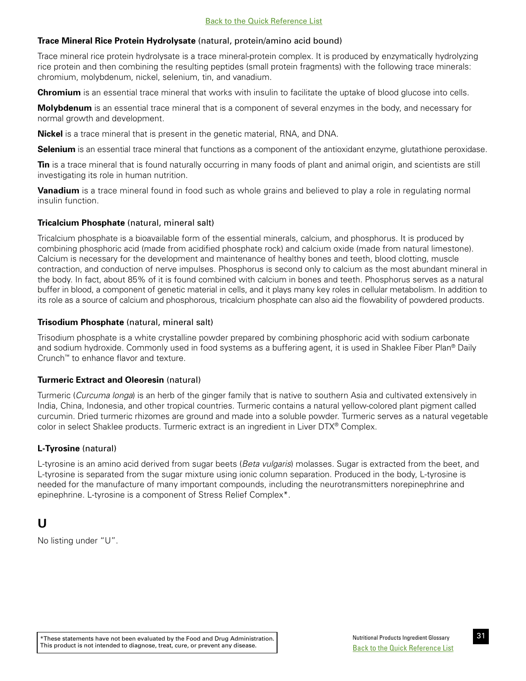# <span id="page-36-0"></span>**Trace Mineral Rice Protein Hydrolysate** (natural, protein/amino acid bound)

Trace mineral rice protein hydrolysate is a trace mineral-protein complex. It is produced by enzymatically hydrolyzing rice protein and then combining the resulting peptides (small protein fragments) with the following trace minerals: chromium, molybdenum, nickel, selenium, tin, and vanadium.

**Chromium** is an essential trace mineral that works with insulin to facilitate the uptake of blood glucose into cells.

**Molybdenum** is an essential trace mineral that is a component of several enzymes in the body, and necessary for normal growth and development.

**Nickel** is a trace mineral that is present in the genetic material, RNA, and DNA.

**Selenium** is an essential trace mineral that functions as a component of the antioxidant enzyme, glutathione peroxidase.

**Tin** is a trace mineral that is found naturally occurring in many foods of plant and animal origin, and scientists are still investigating its role in human nutrition.

**Vanadium** is a trace mineral found in food such as whole grains and believed to play a role in regulating normal insulin function.

# **Tricalcium Phosphate** (natural, mineral salt)

Tricalcium phosphate is a bioavailable form of the essential minerals, calcium, and phosphorus. It is produced by combining phosphoric acid (made from acidified phosphate rock) and calcium oxide (made from natural limestone). Calcium is necessary for the development and maintenance of healthy bones and teeth, blood clotting, muscle contraction, and conduction of nerve impulses. Phosphorus is second only to calcium as the most abundant mineral in the body. In fact, about 85% of it is found combined with calcium in bones and teeth. Phosphorus serves as a natural buffer in blood, a component of genetic material in cells, and it plays many key roles in cellular metabolism. In addition to its role as a source of calcium and phosphorous, tricalcium phosphate can also aid the flowability of powdered products.

# **Trisodium Phosphate** (natural, mineral salt)

Trisodium phosphate is a white crystalline powder prepared by combining phosphoric acid with sodium carbonate and sodium hydroxide. Commonly used in food systems as a buffering agent, it is used in Shaklee Fiber Plan® Daily Crunch™ to enhance flavor and texture.

# **Turmeric Extract and Oleoresin** (natural)

Turmeric (*Curcuma longa*) is an herb of the ginger family that is native to southern Asia and cultivated extensively in India, China, Indonesia, and other tropical countries. Turmeric contains a natural yellow-colored plant pigment called curcumin. Dried turmeric rhizomes are ground and made into a soluble powder. Turmeric serves as a natural vegetable color in select Shaklee products. Turmeric extract is an ingredient in Liver DTX® Complex.

# **L-Tyrosine** (natural)

L-tyrosine is an amino acid derived from sugar beets (*Beta vulgaris*) molasses. Sugar is extracted from the beet, and L-tyrosine is separated from the sugar mixture using ionic column separation. Produced in the body, L-tyrosine is needed for the manufacture of many important compounds, including the neurotransmitters norepinephrine and epinephrine. L-tyrosine is a component of Stress Relief Complex\*.

# **U**

No listing under "U".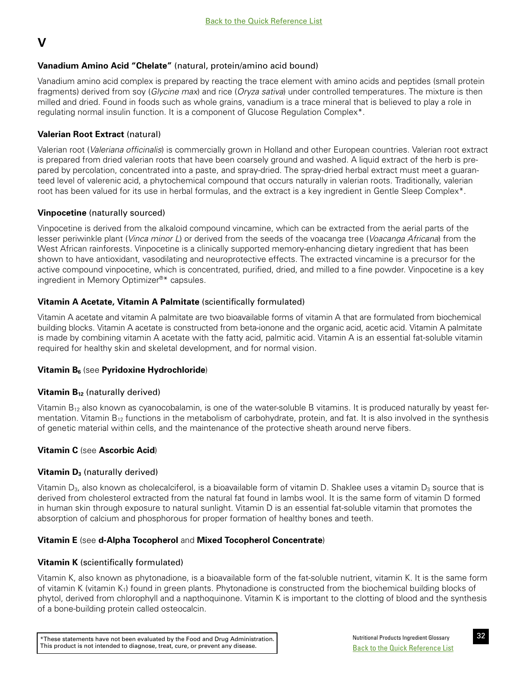# <span id="page-37-0"></span>**V**

# **Vanadium Amino Acid "Chelate"** (natural, protein/amino acid bound)

Vanadium amino acid complex is prepared by reacting the trace element with amino acids and peptides (small protein fragments) derived from soy (*Glycine max*) and rice (*Oryza sativa*) under controlled temperatures. The mixture is then milled and dried. Found in foods such as whole grains, vanadium is a trace mineral that is believed to play a role in regulating normal insulin function. It is a component of Glucose Regulation Complex\*.

# **Valerian Root Extract** (natural)

Valerian root (*Valeriana officinalis*) is commercially grown in Holland and other European countries. Valerian root extract is prepared from dried valerian roots that have been coarsely ground and washed. A liquid extract of the herb is prepared by percolation, concentrated into a paste, and spray-dried. The spray-dried herbal extract must meet a guaranteed level of valerenic acid, a phytochemical compound that occurs naturally in valerian roots. Traditionally, valerian root has been valued for its use in herbal formulas, and the extract is a key ingredient in Gentle Sleep Complex\*.

# **Vinpocetine** (naturally sourced)

Vinpocetine is derived from the alkaloid compound vincamine, which can be extracted from the aerial parts of the lesser periwinkle plant (*Vinca minor L*) or derived from the seeds of the voacanga tree (*Voacanga Africana*) from the West African rainforests. Vinpocetine is a clinically supported memory-enhancing dietary ingredient that has been shown to have antioxidant, vasodilating and neuroprotective effects. The extracted vincamine is a precursor for the active compound vinpocetine, which is concentrated, purified, dried, and milled to a fine powder. Vinpocetine is a key ingredient in Memory Optimizer®\* capsules.

# **Vitamin A Acetate, Vitamin A Palmitate** (scientifically formulated)

Vitamin A acetate and vitamin A palmitate are two bioavailable forms of vitamin A that are formulated from biochemical building blocks. Vitamin A acetate is constructed from beta-ionone and the organic acid, acetic acid. Vitamin A palmitate is made by combining vitamin A acetate with the fatty acid, palmitic acid. Vitamin A is an essential fat-soluble vitamin required for healthy skin and skeletal development, and for normal vision.

# **Vitamin B<sub>6</sub>** (see **Pyridoxine Hydrochloride**)

# **Vitamin B<sub>12</sub>** (naturally derived)

Vitamin  $B_{12}$  also known as cyanocobalamin, is one of the water-soluble B vitamins. It is produced naturally by yeast fermentation. Vitamin  $B_{12}$  functions in the metabolism of carbohydrate, protein, and fat. It is also involved in the synthesis of genetic material within cells, and the maintenance of the protective sheath around nerve fibers.

# **Vitamin C** (see **Ascorbic Acid**)

# **Vitamin D<sub>3</sub>** (naturally derived)

Vitamin  $D_3$ , also known as cholecalciferol, is a bioavailable form of vitamin D. Shaklee uses a vitamin  $D_3$  source that is derived from cholesterol extracted from the natural fat found in lambs wool. It is the same form of vitamin D formed in human skin through exposure to natural sunlight. Vitamin D is an essential fat-soluble vitamin that promotes the absorption of calcium and phosphorous for proper formation of healthy bones and teeth.

# **Vitamin E** (see **d-Alpha Tocopherol** and **Mixed Tocopherol Concentrate**)

# **Vitamin K** (scientifically formulated)

Vitamin K, also known as phytonadione, is a bioavailable form of the fat-soluble nutrient, vitamin K. It is the same form of vitamin K (vitamin  $K_1$ ) found in green plants. Phytonadione is constructed from the biochemical building blocks of phytol, derived from chlorophyll and a napthoquinone. Vitamin K is important to the clotting of blood and the synthesis of a bone-building protein called osteocalcin.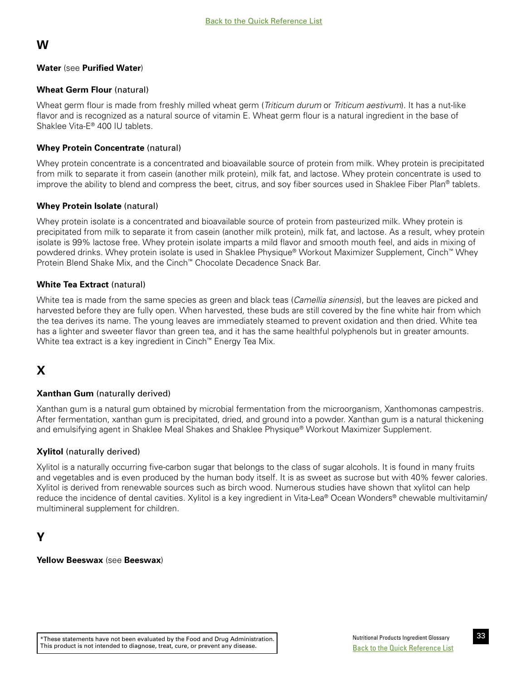# <span id="page-38-0"></span>**W**

# **Water** (see **Purified Water**)

# **Wheat Germ Flour** (natural)

Wheat germ flour is made from freshly milled wheat germ (*Triticum durum* or *Triticum aestivum*). It has a nut-like flavor and is recognized as a natural source of vitamin E. Wheat germ flour is a natural ingredient in the base of Shaklee Vita-E® 400 IU tablets.

# **Whey Protein Concentrate** (natural)

Whey protein concentrate is a concentrated and bioavailable source of protein from milk. Whey protein is precipitated from milk to separate it from casein (another milk protein), milk fat, and lactose. Whey protein concentrate is used to improve the ability to blend and compress the beet, citrus, and soy fiber sources used in Shaklee Fiber Plan® tablets.

# **Whey Protein Isolate** (natural)

Whey protein isolate is a concentrated and bioavailable source of protein from pasteurized milk. Whey protein is precipitated from milk to separate it from casein (another milk protein), milk fat, and lactose. As a result, whey protein isolate is 99% lactose free. Whey protein isolate imparts a mild flavor and smooth mouth feel, and aids in mixing of powdered drinks. Whey protein isolate is used in Shaklee Physique® Workout Maximizer Supplement, Cinch™ Whey Protein Blend Shake Mix, and the Cinch™ Chocolate Decadence Snack Bar.

# **White Tea Extract** (natural)

White tea is made from the same species as green and black teas (*Camellia sinensis*), but the leaves are picked and harvested before they are fully open. When harvested, these buds are still covered by the fine white hair from which the tea derives its name. The young leaves are immediately steamed to prevent oxidation and then dried. White tea has a lighter and sweeter flavor than green tea, and it has the same healthful polyphenols but in greater amounts. White tea extract is a key ingredient in Cinch™ Energy Tea Mix.

# **X**

# **Xanthan Gum** (naturally derived)

Xanthan gum is a natural gum obtained by microbial fermentation from the microorganism, Xanthomonas campestris. After fermentation, xanthan gum is precipitated, dried, and ground into a powder. Xanthan gum is a natural thickening and emulsifying agent in Shaklee Meal Shakes and Shaklee Physique® Workout Maximizer Supplement.

# **Xylitol** (naturally derived)

Xylitol is a naturally occurring five-carbon sugar that belongs to the class of sugar alcohols. It is found in many fruits and vegetables and is even produced by the human body itself. It is as sweet as sucrose but with 40% fewer calories. Xylitol is derived from renewable sources such as birch wood. Numerous studies have shown that xylitol can help reduce the incidence of dental cavities. Xylitol is a key ingredient in Vita-Lea® Ocean Wonders® chewable multivitamin/ multimineral supplement for children.

# **Y**

**Yellow Beeswax** (see **Beeswax**)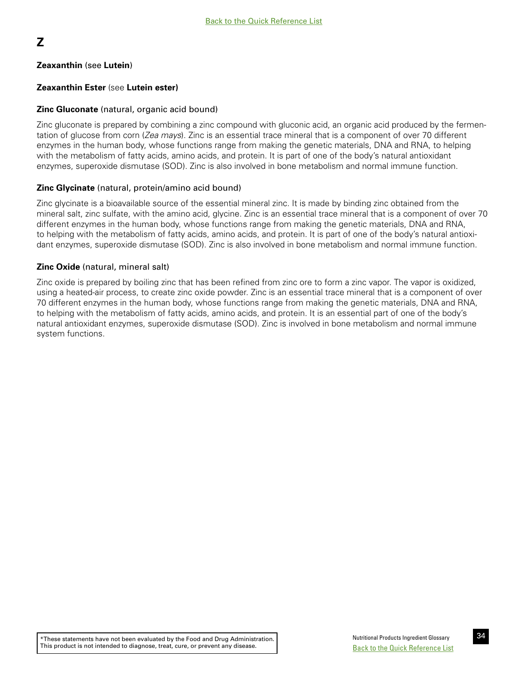# <span id="page-39-0"></span>**Z**

# **Zeaxanthin** (see **Lutein**)

# **Zeaxanthin Ester** (see **Lutein ester)**

## **Zinc Gluconate** (natural, organic acid bound)

Zinc gluconate is prepared by combining a zinc compound with gluconic acid, an organic acid produced by the fermentation of glucose from corn (*Zea mays*). Zinc is an essential trace mineral that is a component of over 70 different enzymes in the human body, whose functions range from making the genetic materials, DNA and RNA, to helping with the metabolism of fatty acids, amino acids, and protein. It is part of one of the body's natural antioxidant enzymes, superoxide dismutase (SOD). Zinc is also involved in bone metabolism and normal immune function.

## **Zinc Glycinate** (natural, protein/amino acid bound)

Zinc glycinate is a bioavailable source of the essential mineral zinc. It is made by binding zinc obtained from the mineral salt, zinc sulfate, with the amino acid, glycine. Zinc is an essential trace mineral that is a component of over 70 different enzymes in the human body, whose functions range from making the genetic materials, DNA and RNA, to helping with the metabolism of fatty acids, amino acids, and protein. It is part of one of the body's natural antioxidant enzymes, superoxide dismutase (SOD). Zinc is also involved in bone metabolism and normal immune function.

#### **Zinc Oxide** (natural, mineral salt)

Zinc oxide is prepared by boiling zinc that has been refined from zinc ore to form a zinc vapor. The vapor is oxidized, using a heated-air process, to create zinc oxide powder. Zinc is an essential trace mineral that is a component of over 70 different enzymes in the human body, whose functions range from making the genetic materials, DNA and RNA, to helping with the metabolism of fatty acids, amino acids, and protein. It is an essential part of one of the body's natural antioxidant enzymes, superoxide dismutase (SOD). Zinc is involved in bone metabolism and normal immune system functions.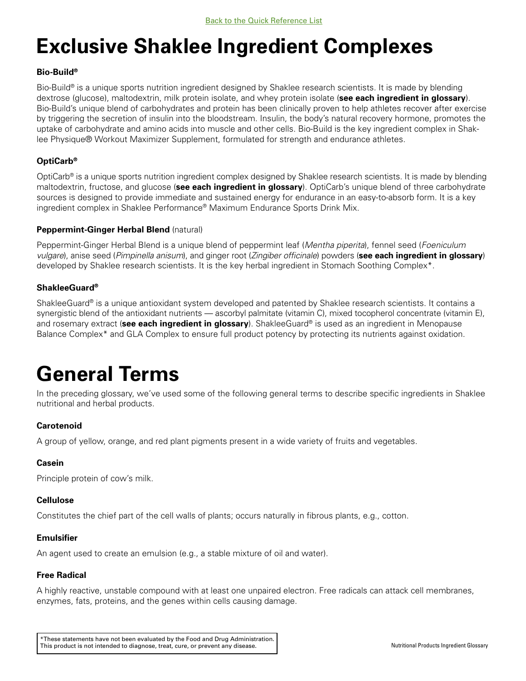# **Exclusive Shaklee Ingredient Complexes**

# **Bio-Build®**

Bio-Build® is a unique sports nutrition ingredient designed by Shaklee research scientists. It is made by blending dextrose (glucose), maltodextrin, milk protein isolate, and whey protein isolate (**see each ingredient in glossary**). Bio-Build's unique blend of carbohydrates and protein has been clinically proven to help athletes recover after exercise by triggering the secretion of insulin into the bloodstream. Insulin, the body's natural recovery hormone, promotes the uptake of carbohydrate and amino acids into muscle and other cells. Bio-Build is the key ingredient complex in Shaklee Physique® Workout Maximizer Supplement, formulated for strength and endurance athletes.

# **OptiCarb®**

OptiCarb® is a unique sports nutrition ingredient complex designed by Shaklee research scientists. It is made by blending maltodextrin, fructose, and glucose (**see each ingredient in glossary**). OptiCarb's unique blend of three carbohydrate sources is designed to provide immediate and sustained energy for endurance in an easy-to-absorb form. It is a key ingredient complex in Shaklee Performance® Maximum Endurance Sports Drink Mix.

# **Peppermint-Ginger Herbal Blend** (natural)

Peppermint-Ginger Herbal Blend is a unique blend of peppermint leaf (*Mentha piperita*), fennel seed (*Foeniculum vulgare*), anise seed (*Pimpinella anisum*), and ginger root (*Zingiber officinale*) powders (**see each ingredient in glossary**) developed by Shaklee research scientists. It is the key herbal ingredient in Stomach Soothing Complex\*.

# **ShakleeGuard®**

ShakleeGuard® is a unique antioxidant system developed and patented by Shaklee research scientists. It contains a synergistic blend of the antioxidant nutrients — ascorbyl palmitate (vitamin C), mixed tocopherol concentrate (vitamin E), and rosemary extract (**see each ingredient in glossary**). ShakleeGuard® is used as an ingredient in Menopause Balance Complex\* and GLA Complex to ensure full product potency by protecting its nutrients against oxidation.

# **General Terms**

In the preceding glossary, we've used some of the following general terms to describe specific ingredients in Shaklee nutritional and herbal products.

# **Carotenoid**

A group of yellow, orange, and red plant pigments present in a wide variety of fruits and vegetables.

# **Casein**

Principle protein of cow's milk.

# **Cellulose**

Constitutes the chief part of the cell walls of plants; occurs naturally in fibrous plants, e.g., cotton.

# **Emulsifier**

An agent used to create an emulsion (e.g., a stable mixture of oil and water).

# **Free Radical**

A highly reactive, unstable compound with at least one unpaired electron. Free radicals can attack cell membranes, enzymes, fats, proteins, and the genes within cells causing damage.